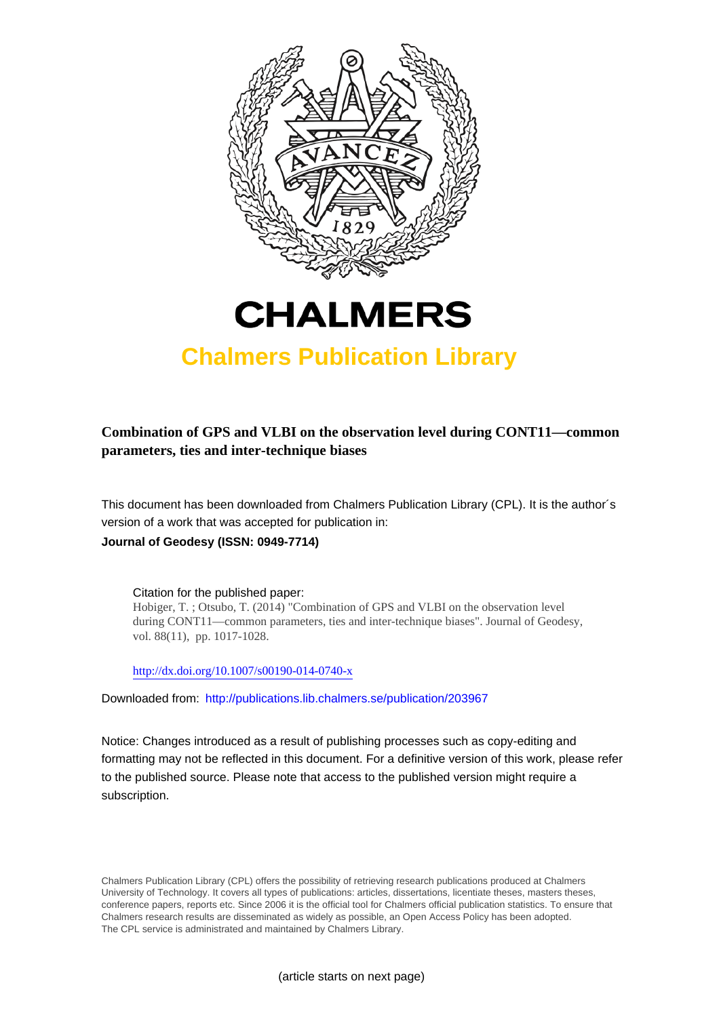



# **Chalmers Publication Library**

**Combination of GPS and VLBI on the observation level during CONT11—common parameters, ties and inter-technique biases**

This document has been downloaded from Chalmers Publication Library (CPL). It is the author´s version of a work that was accepted for publication in: **Journal of Geodesy (ISSN: 0949-7714)**

Citation for the published paper: Hobiger, T. ; Otsubo, T. (2014) "Combination of GPS and VLBI on the observation level during CONT11—common parameters, ties and inter-technique biases". Journal of Geodesy, vol. 88(11), pp. 1017-1028.

<http://dx.doi.org/10.1007/s00190-014-0740-x>

Downloaded from: <http://publications.lib.chalmers.se/publication/203967>

Notice: Changes introduced as a result of publishing processes such as copy-editing and formatting may not be reflected in this document. For a definitive version of this work, please refer to the published source. Please note that access to the published version might require a subscription.

Chalmers Publication Library (CPL) offers the possibility of retrieving research publications produced at Chalmers University of Technology. It covers all types of publications: articles, dissertations, licentiate theses, masters theses, conference papers, reports etc. Since 2006 it is the official tool for Chalmers official publication statistics. To ensure that Chalmers research results are disseminated as widely as possible, an Open Access Policy has been adopted. The CPL service is administrated and maintained by Chalmers Library.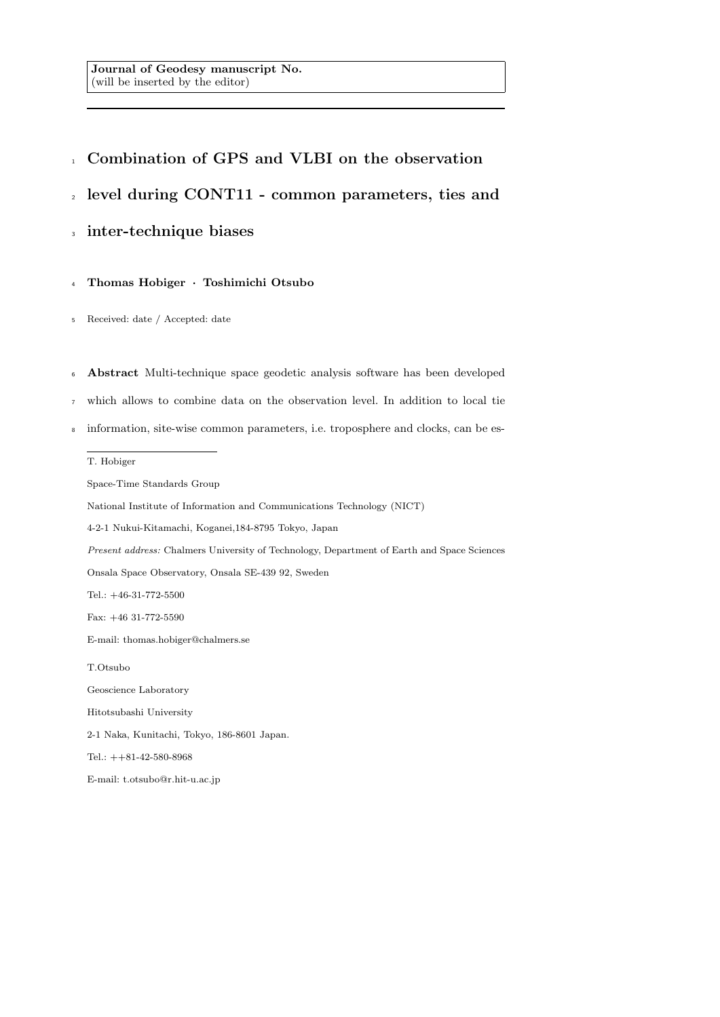# <sup>1</sup> Combination of GPS and VLBI on the observation

<sup>2</sup> level during CONT11 - common parameters, ties and

## <sup>3</sup> inter-technique biases

<sup>4</sup> Thomas Hobiger · Toshimichi Otsubo

- <sup>5</sup> Received: date / Accepted: date
- <sup>6</sup> Abstract Multi-technique space geodetic analysis software has been developed
- <sup>7</sup> which allows to combine data on the observation level. In addition to local tie
- <sup>8</sup> information, site-wise common parameters, i.e. troposphere and clocks, can be es-

## T. Hobiger

Space-Time Standards Group National Institute of Information and Communications Technology (NICT) 4-2-1 Nukui-Kitamachi, Koganei,184-8795 Tokyo, Japan Present address: Chalmers University of Technology, Department of Earth and Space Sciences Onsala Space Observatory, Onsala SE-439 92, Sweden Tel.: +46-31-772-5500 Fax: +46 31-772-5590 E-mail: thomas.hobiger@chalmers.se T.Otsubo Geoscience Laboratory Hitotsubashi University 2-1 Naka, Kunitachi, Tokyo, 186-8601 Japan. Tel.: ++81-42-580-8968

E-mail: t.otsubo@r.hit-u.ac.jp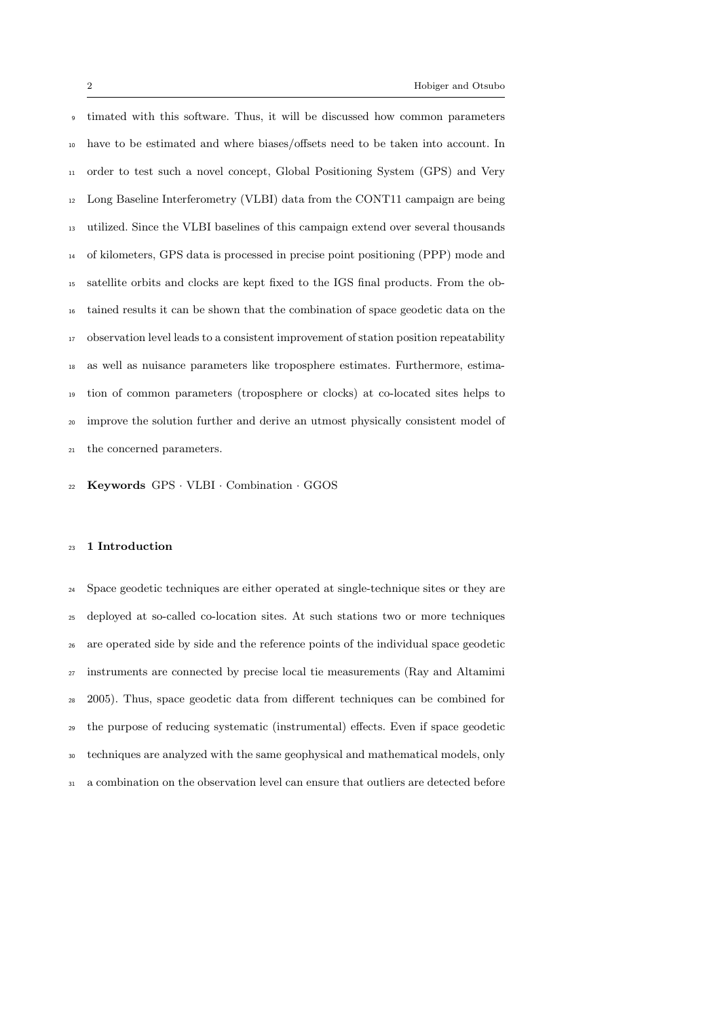timated with this software. Thus, it will be discussed how common parameters have to be estimated and where biases/offsets need to be taken into account. In order to test such a novel concept, Global Positioning System (GPS) and Very Long Baseline Interferometry (VLBI) data from the CONT11 campaign are being utilized. Since the VLBI baselines of this campaign extend over several thousands of kilometers, GPS data is processed in precise point positioning (PPP) mode and satellite orbits and clocks are kept fixed to the IGS final products. From the ob- tained results it can be shown that the combination of space geodetic data on the observation level leads to a consistent improvement of station position repeatability as well as nuisance parameters like troposphere estimates. Furthermore, estima- tion of common parameters (troposphere or clocks) at co-located sites helps to improve the solution further and derive an utmost physically consistent model of the concerned parameters.

Keywords GPS · VLBI · Combination · GGOS

## 1 Introduction

 Space geodetic techniques are either operated at single-technique sites or they are deployed at so-called co-location sites. At such stations two or more techniques are operated side by side and the reference points of the individual space geodetic instruments are connected by precise local tie measurements (Ray and Altamimi 2005). Thus, space geodetic data from different techniques can be combined for the purpose of reducing systematic (instrumental) effects. Even if space geodetic techniques are analyzed with the same geophysical and mathematical models, only a combination on the observation level can ensure that outliers are detected before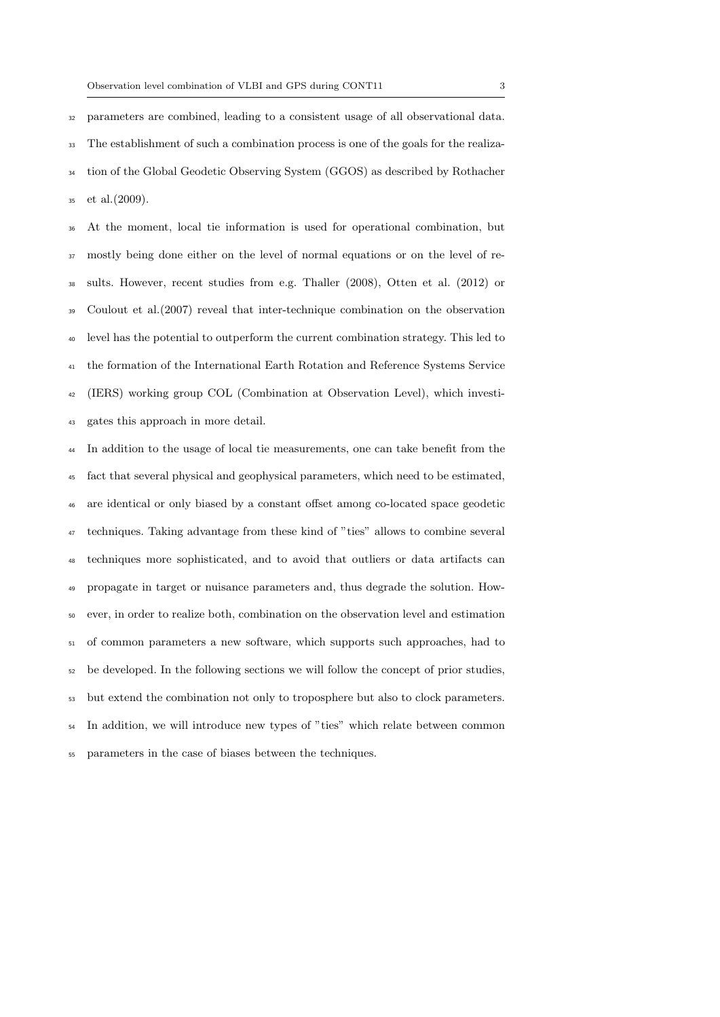parameters are combined, leading to a consistent usage of all observational data. The establishment of such a combination process is one of the goals for the realiza- tion of the Global Geodetic Observing System (GGOS) as described by Rothacher et al.(2009).

 At the moment, local tie information is used for operational combination, but mostly being done either on the level of normal equations or on the level of re- sults. However, recent studies from e.g. Thaller (2008), Otten et al. (2012) or Coulout et al.(2007) reveal that inter-technique combination on the observation level has the potential to outperform the current combination strategy. This led to the formation of the International Earth Rotation and Reference Systems Service (IERS) working group COL (Combination at Observation Level), which investi-gates this approach in more detail.

 In addition to the usage of local tie measurements, one can take benefit from the fact that several physical and geophysical parameters, which need to be estimated, are identical or only biased by a constant offset among co-located space geodetic techniques. Taking advantage from these kind of "ties" allows to combine several techniques more sophisticated, and to avoid that outliers or data artifacts can propagate in target or nuisance parameters and, thus degrade the solution. How- ever, in order to realize both, combination on the observation level and estimation of common parameters a new software, which supports such approaches, had to be developed. In the following sections we will follow the concept of prior studies, but extend the combination not only to troposphere but also to clock parameters. In addition, we will introduce new types of "ties" which relate between common parameters in the case of biases between the techniques.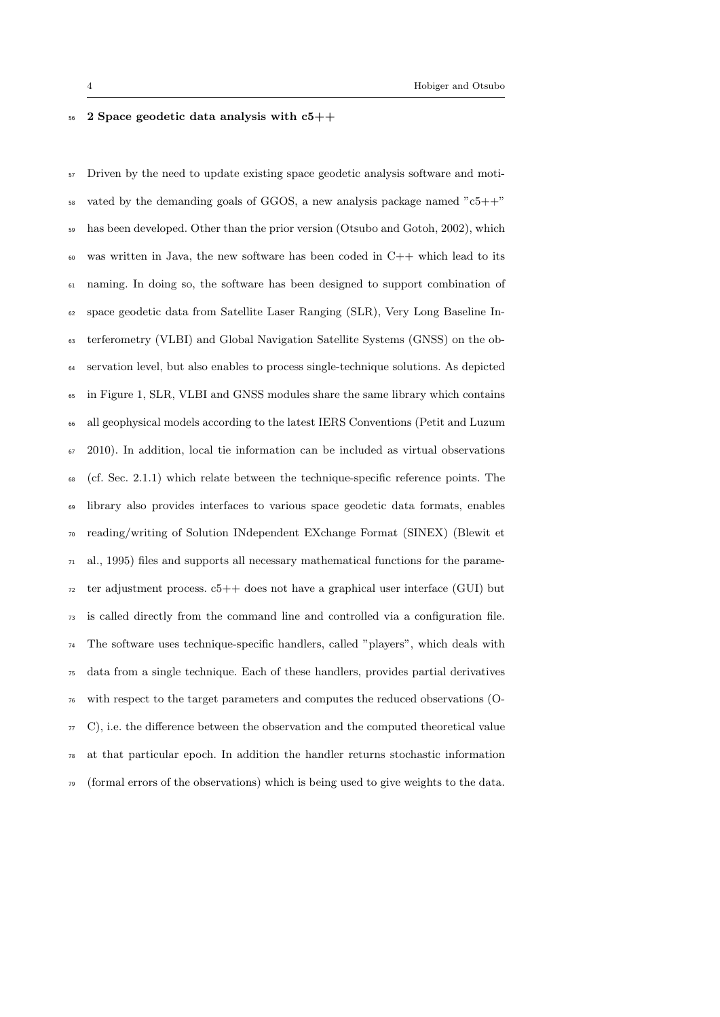## $56\quad 2$  Space geodetic data analysis with  $c5++$

 Driven by the need to update existing space geodetic analysis software and moti- vated by the demanding goals of GGOS, a new analysis package named "c5++" has been developed. Other than the prior version (Otsubo and Gotoh, 2002), which was written in Java, the new software has been coded in C++ which lead to its naming. In doing so, the software has been designed to support combination of space geodetic data from Satellite Laser Ranging (SLR), Very Long Baseline In- terferometry (VLBI) and Global Navigation Satellite Systems (GNSS) on the ob- servation level, but also enables to process single-technique solutions. As depicted in Figure 1, SLR, VLBI and GNSS modules share the same library which contains all geophysical models according to the latest IERS Conventions (Petit and Luzum  $67 \quad 2010$ ). In addition, local tie information can be included as virtual observations (cf. Sec. 2.1.1) which relate between the technique-specific reference points. The library also provides interfaces to various space geodetic data formats, enables reading/writing of Solution INdependent EXchange Format (SINEX) (Blewit et al., 1995) files and supports all necessary mathematical functions for the parame- $\tau_2$  ter adjustment process.  $c_5++$  does not have a graphical user interface (GUI) but is called directly from the command line and controlled via a configuration file. The software uses technique-specific handlers, called "players", which deals with data from a single technique. Each of these handlers, provides partial derivatives with respect to the target parameters and computes the reduced observations (O- C), i.e. the difference between the observation and the computed theoretical value at that particular epoch. In addition the handler returns stochastic information  $\tau$ <sup>9</sup> (formal errors of the observations) which is being used to give weights to the data.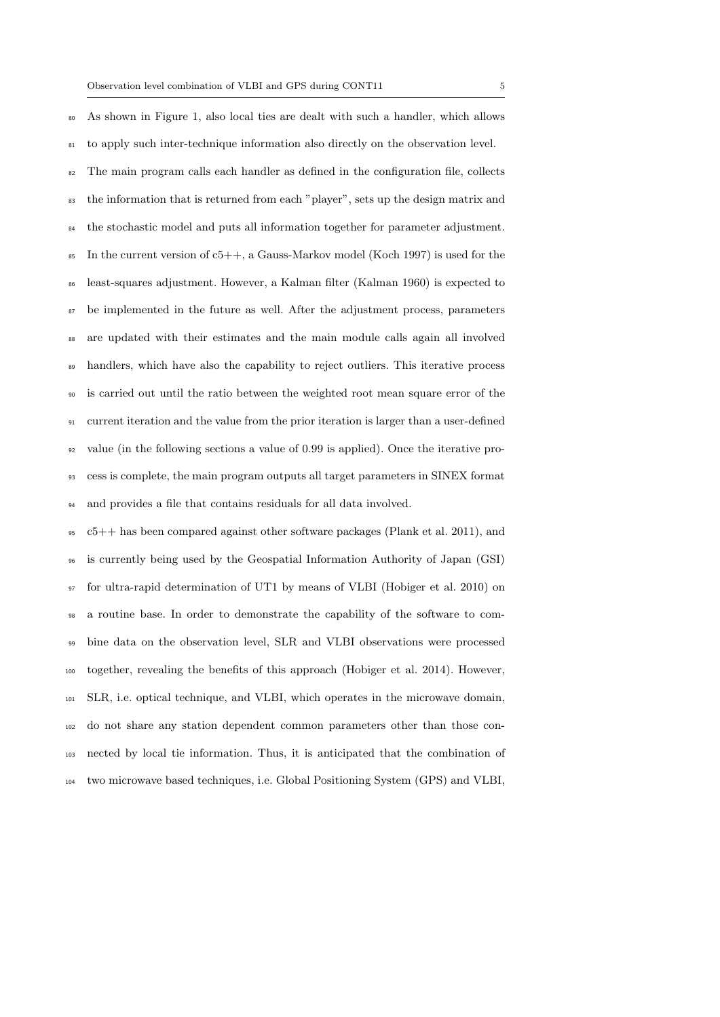As shown in Figure 1, also local ties are dealt with such a handler, which allows to apply such inter-technique information also directly on the observation level. The main program calls each handler as defined in the configuration file, collects <sup>83</sup> the information that is returned from each "player", sets up the design matrix and <sup>84</sup> the stochastic model and puts all information together for parameter adjustment. In the current version of  $c5++$ , a Gauss-Markov model (Koch 1997) is used for the least-squares adjustment. However, a Kalman filter (Kalman 1960) is expected to be implemented in the future as well. After the adjustment process, parameters are updated with their estimates and the main module calls again all involved <sup>89</sup> handlers, which have also the capability to reject outliers. This iterative process is carried out until the ratio between the weighted root mean square error of the current iteration and the value from the prior iteration is larger than a user-defined value (in the following sections a value of 0.99 is applied). Once the iterative pro- cess is complete, the main program outputs all target parameters in SINEX format and provides a file that contains residuals for all data involved.

 c5++ has been compared against other software packages (Plank et al. 2011), and is currently being used by the Geospatial Information Authority of Japan (GSI) for ultra-rapid determination of UT1 by means of VLBI (Hobiger et al. 2010) on a routine base. In order to demonstrate the capability of the software to com- bine data on the observation level, SLR and VLBI observations were processed together, revealing the benefits of this approach (Hobiger et al. 2014). However, SLR, i.e. optical technique, and VLBI, which operates in the microwave domain, do not share any station dependent common parameters other than those con- nected by local tie information. Thus, it is anticipated that the combination of two microwave based techniques, i.e. Global Positioning System (GPS) and VLBI,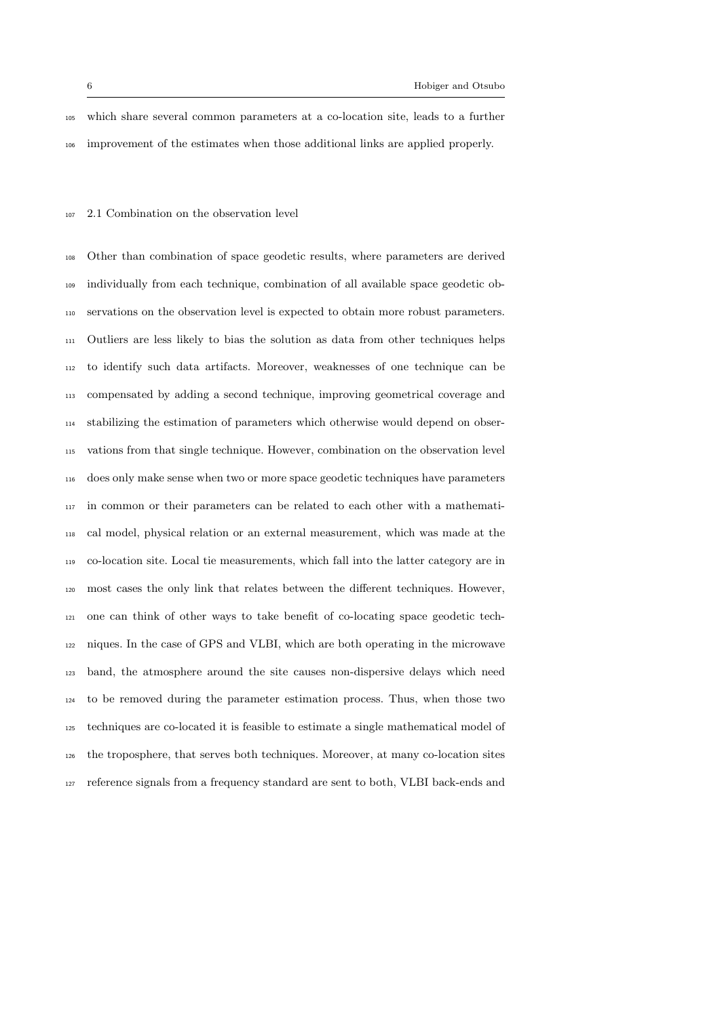which share several common parameters at a co-location site, leads to a further improvement of the estimates when those additional links are applied properly.

## 2.1 Combination on the observation level

 Other than combination of space geodetic results, where parameters are derived individually from each technique, combination of all available space geodetic ob- servations on the observation level is expected to obtain more robust parameters. Outliers are less likely to bias the solution as data from other techniques helps to identify such data artifacts. Moreover, weaknesses of one technique can be compensated by adding a second technique, improving geometrical coverage and stabilizing the estimation of parameters which otherwise would depend on obser- vations from that single technique. However, combination on the observation level does only make sense when two or more space geodetic techniques have parameters in common or their parameters can be related to each other with a mathemati- cal model, physical relation or an external measurement, which was made at the co-location site. Local tie measurements, which fall into the latter category are in most cases the only link that relates between the different techniques. However, one can think of other ways to take benefit of co-locating space geodetic tech- niques. In the case of GPS and VLBI, which are both operating in the microwave band, the atmosphere around the site causes non-dispersive delays which need to be removed during the parameter estimation process. Thus, when those two techniques are co-located it is feasible to estimate a single mathematical model of the troposphere, that serves both techniques. Moreover, at many co-location sites reference signals from a frequency standard are sent to both, VLBI back-ends and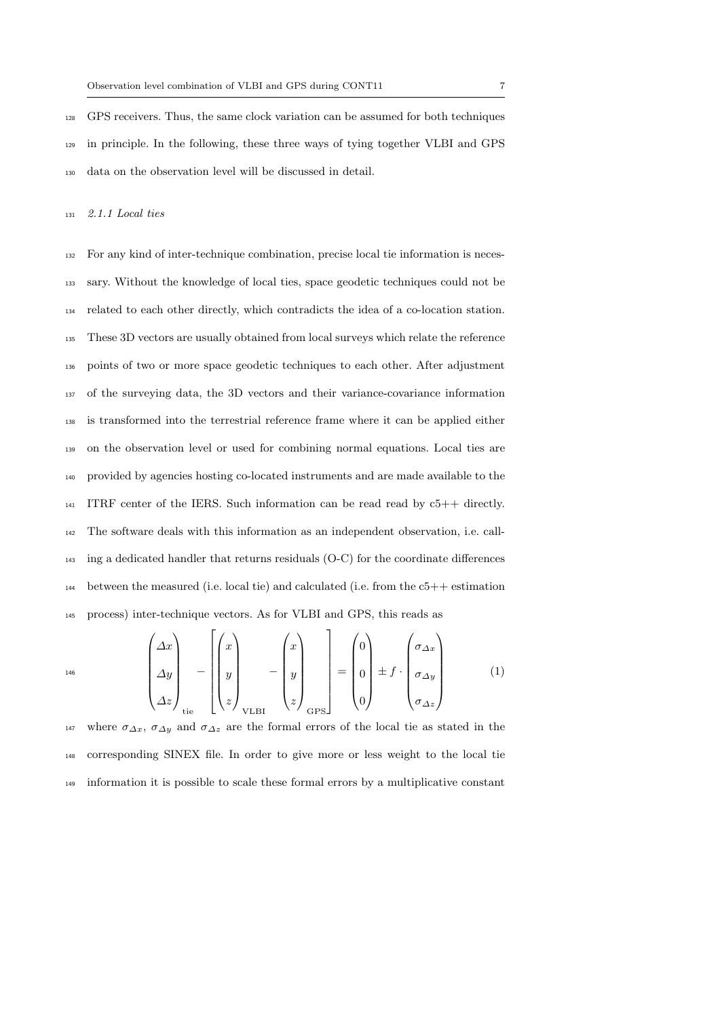GPS receivers. Thus, the same clock variation can be assumed for both techniques in principle. In the following, these three ways of tying together VLBI and GPS data on the observation level will be discussed in detail.

2.1.1 Local ties

 For any kind of inter-technique combination, precise local tie information is neces- sary. Without the knowledge of local ties, space geodetic techniques could not be related to each other directly, which contradicts the idea of a co-location station. These 3D vectors are usually obtained from local surveys which relate the reference points of two or more space geodetic techniques to each other. After adjustment of the surveying data, the 3D vectors and their variance-covariance information is transformed into the terrestrial reference frame where it can be applied either on the observation level or used for combining normal equations. Local ties are provided by agencies hosting co-located instruments and are made available to the ITRF center of the IERS. Such information can be read read by  $c5++$  directly. The software deals with this information as an independent observation, i.e. call- ing a dedicated handler that returns residuals (O-C) for the coordinate differences between the measured (i.e. local tie) and calculated (i.e. from the c5++ estimation process) inter-technique vectors. As for VLBI and GPS, this reads as

$$
^{146}\n\begin{pmatrix}\n\Delta x \\
\Delta y \\
\Delta z\n\end{pmatrix}_{\text{tie}} - \begin{pmatrix}\nx \\
y \\
z\n\end{pmatrix}_{\text{VLBI}} - \begin{pmatrix}\nx \\
y \\
z\n\end{pmatrix}_{\text{QPS}}\n\begin{pmatrix}\n0 \\
0 \\
0\n\end{pmatrix} \pm f \cdot \begin{pmatrix}\n\sigma_{\Delta x} \\
\sigma_{\Delta y} \\
\sigma_{\Delta z}\n\end{pmatrix} \tag{1}
$$

147 where  $\sigma_{\Delta x}$ ,  $\sigma_{\Delta y}$  and  $\sigma_{\Delta z}$  are the formal errors of the local tie as stated in the corresponding SINEX file. In order to give more or less weight to the local tie information it is possible to scale these formal errors by a multiplicative constant

 $\mathbf{r}$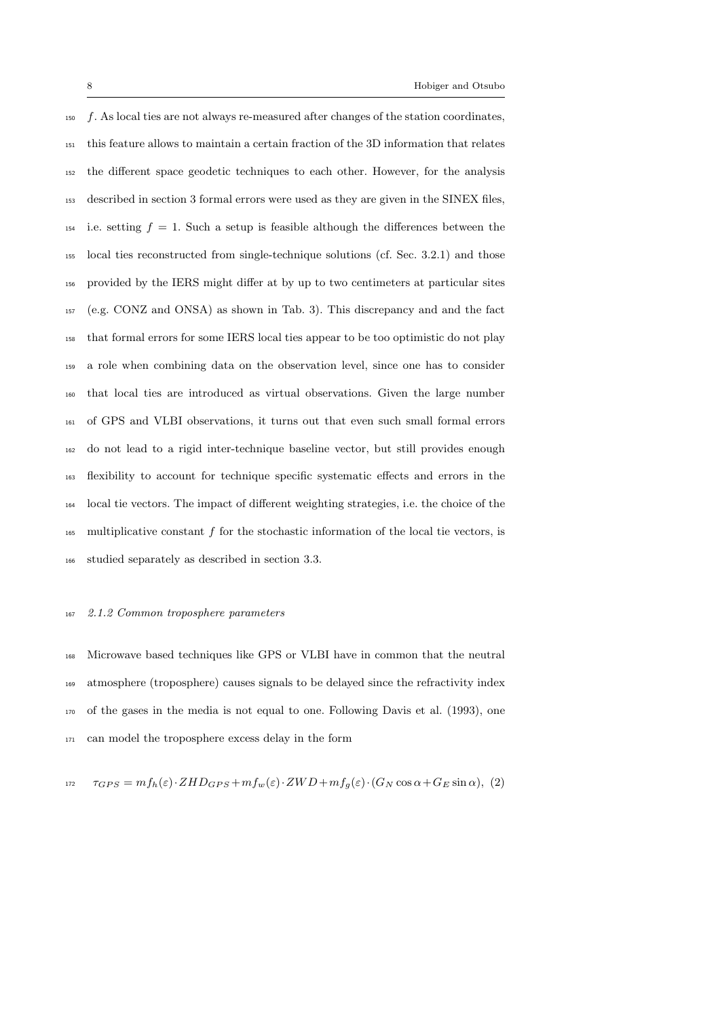$150 \text{ } f.$  As local ties are not always re-measured after changes of the station coordinates, this feature allows to maintain a certain fraction of the 3D information that relates the different space geodetic techniques to each other. However, for the analysis described in section 3 formal errors were used as they are given in the SINEX files, 154 i.e. setting  $f = 1$ . Such a setup is feasible although the differences between the local ties reconstructed from single-technique solutions (cf. Sec. 3.2.1) and those provided by the IERS might differ at by up to two centimeters at particular sites (e.g. CONZ and ONSA) as shown in Tab. 3). This discrepancy and and the fact that formal errors for some IERS local ties appear to be too optimistic do not play a role when combining data on the observation level, since one has to consider that local ties are introduced as virtual observations. Given the large number of GPS and VLBI observations, it turns out that even such small formal errors do not lead to a rigid inter-technique baseline vector, but still provides enough flexibility to account for technique specific systematic effects and errors in the local tie vectors. The impact of different weighting strategies, i.e. the choice of the multiplicative constant f for the stochastic information of the local tie vectors, is studied separately as described in section 3.3.

## 2.1.2 Common troposphere parameters

 Microwave based techniques like GPS or VLBI have in common that the neutral atmosphere (troposphere) causes signals to be delayed since the refractivity index of the gases in the media is not equal to one. Following Davis et al. (1993), one can model the troposphere excess delay in the form

$$
\tau_{GPS} = mf_h(\varepsilon) \cdot ZHD_{GPS} + mf_w(\varepsilon) \cdot ZWD + mf_g(\varepsilon) \cdot (G_N \cos \alpha + G_E \sin \alpha), (2)
$$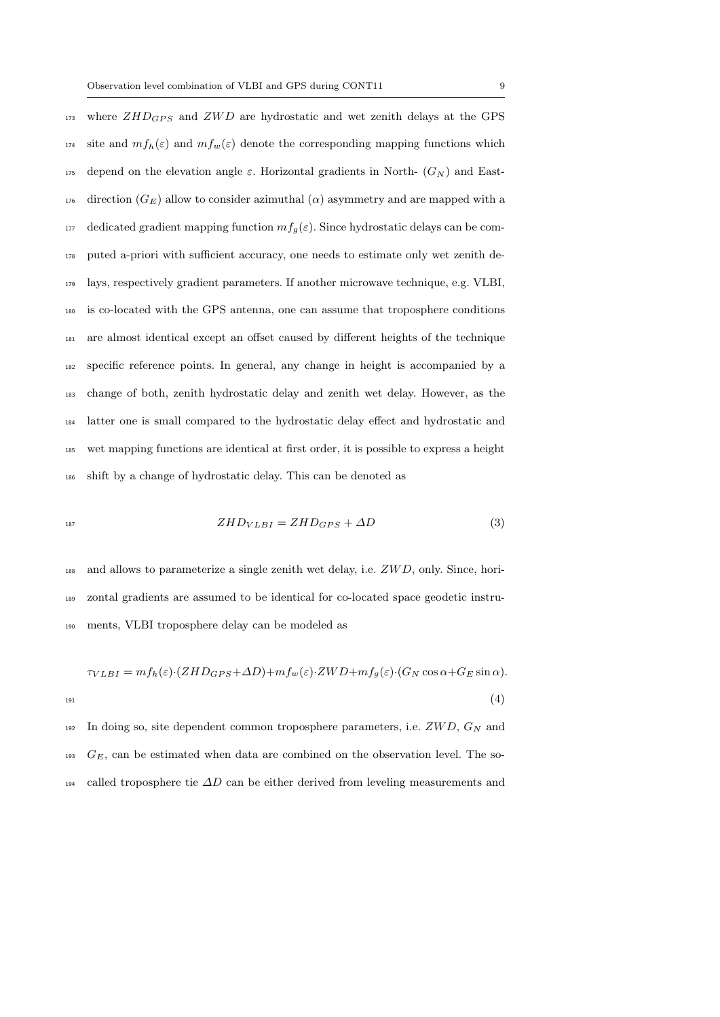where  $ZHD_{GPS}$  and  $ZWD$  are hydrostatic and wet zenith delays at the GPS <sup>174</sup> site and  $mf_h(\varepsilon)$  and  $mf_w(\varepsilon)$  denote the corresponding mapping functions which 175 depend on the elevation angle  $\varepsilon$ . Horizontal gradients in North-  $(G_N)$  and East-176 direction ( $G_E$ ) allow to consider azimuthal ( $\alpha$ ) asymmetry and are mapped with a 177 dedicated gradient mapping function  $mf_g(\varepsilon)$ . Since hydrostatic delays can be com- puted a-priori with sufficient accuracy, one needs to estimate only wet zenith de- lays, respectively gradient parameters. If another microwave technique, e.g. VLBI, is co-located with the GPS antenna, one can assume that troposphere conditions are almost identical except an offset caused by different heights of the technique specific reference points. In general, any change in height is accompanied by a change of both, zenith hydrostatic delay and zenith wet delay. However, as the latter one is small compared to the hydrostatic delay effect and hydrostatic and wet mapping functions are identical at first order, it is possible to express a height shift by a change of hydrostatic delay. This can be denoted as

$$
ZHD_{VLBI} = ZHD_{GPS} + \Delta D \tag{3}
$$

 and allows to parameterize a single zenith wet delay, i.e.  $ZWD$ , only. Since, hori- zontal gradients are assumed to be identical for co-located space geodetic instru-ments, VLBI troposphere delay can be modeled as

$$
\tau_{VLBI} = mf_h(\varepsilon) \cdot (ZHD_{GPS} + \Delta D) + mf_w(\varepsilon) \cdot ZWD + mf_g(\varepsilon) \cdot (G_N \cos \alpha + G_E \sin \alpha).
$$
\n(4)

 In doing so, site dependent common troposphere parameters, i.e.  $ZWD, G_N$  and G<sub>E</sub>, can be estimated when data are combined on the observation level. The so-called troposphere tie ∆D can be either derived from leveling measurements and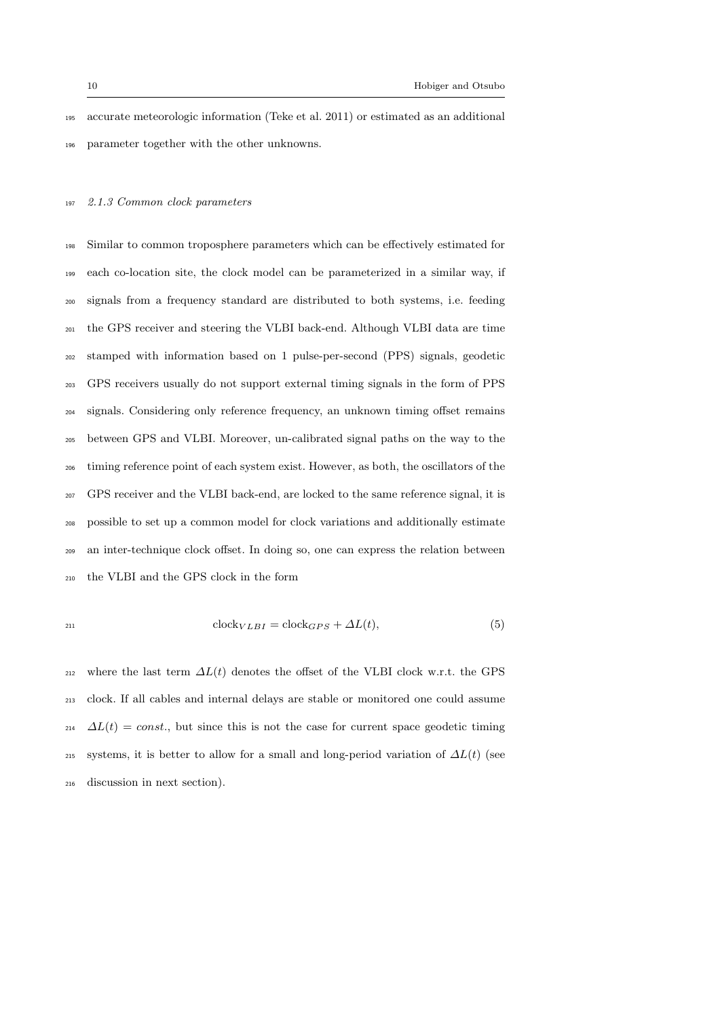accurate meteorologic information (Teke et al. 2011) or estimated as an additional parameter together with the other unknowns.

## 2.1.3 Common clock parameters

 Similar to common troposphere parameters which can be effectively estimated for each co-location site, the clock model can be parameterized in a similar way, if signals from a frequency standard are distributed to both systems, i.e. feeding the GPS receiver and steering the VLBI back-end. Although VLBI data are time stamped with information based on 1 pulse-per-second (PPS) signals, geodetic GPS receivers usually do not support external timing signals in the form of PPS signals. Considering only reference frequency, an unknown timing offset remains between GPS and VLBI. Moreover, un-calibrated signal paths on the way to the timing reference point of each system exist. However, as both, the oscillators of the GPS receiver and the VLBI back-end, are locked to the same reference signal, it is possible to set up a common model for clock variations and additionally estimate an inter-technique clock offset. In doing so, one can express the relation between the VLBI and the GPS clock in the form

$$
^{211}
$$

$$
clock_{VLBI} = clock_{GPS} + \Delta L(t),\tag{5}
$$

212 where the last term  $\Delta L(t)$  denotes the offset of the VLBI clock w.r.t. the GPS clock. If all cables and internal delays are stable or monitored one could assume  $\Delta L(t) = const.$ , but since this is not the case for current space geodetic timing systems, it is better to allow for a small and long-period variation of  $\Delta L(t)$  (see discussion in next section).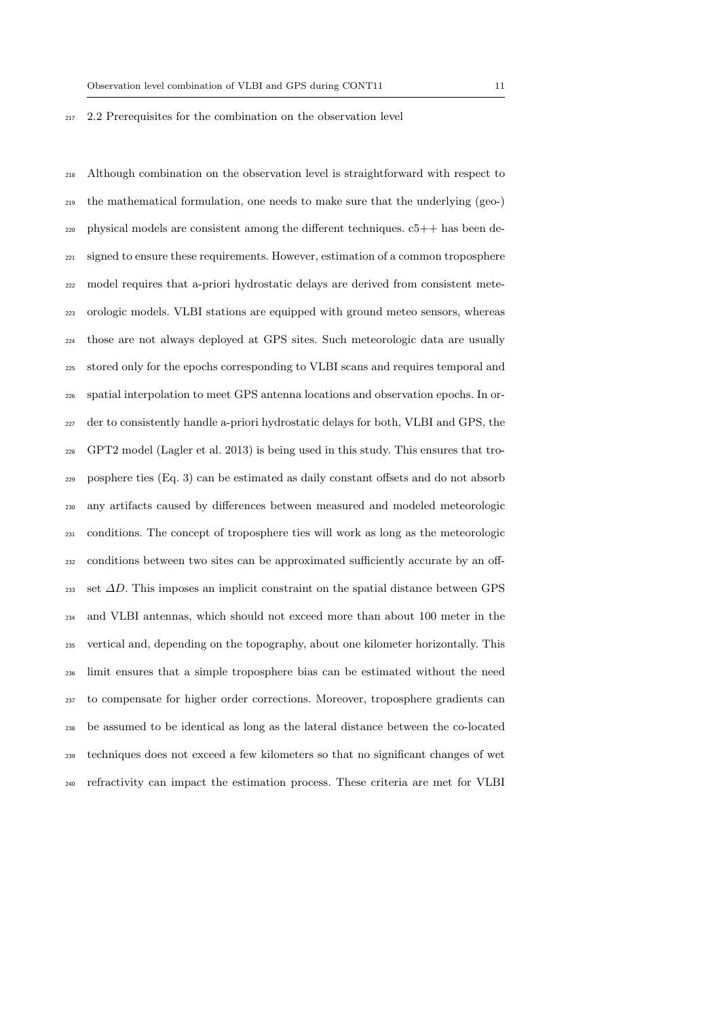#### 2.2 Prerequisites for the combination on the observation level

 Although combination on the observation level is straightforward with respect to the mathematical formulation, one needs to make sure that the underlying (geo-) physical models are consistent among the different techniques. c5++ has been de- signed to ensure these requirements. However, estimation of a common troposphere model requires that a-priori hydrostatic delays are derived from consistent mete- orologic models. VLBI stations are equipped with ground meteo sensors, whereas those are not always deployed at GPS sites. Such meteorologic data are usually stored only for the epochs corresponding to VLBI scans and requires temporal and spatial interpolation to meet GPS antenna locations and observation epochs. In or- der to consistently handle a-priori hydrostatic delays for both, VLBI and GPS, the GPT2 model (Lagler et al. 2013) is being used in this study. This ensures that tro- posphere ties (Eq. 3) can be estimated as daily constant offsets and do not absorb any artifacts caused by differences between measured and modeled meteorologic conditions. The concept of troposphere ties will work as long as the meteorologic conditions between two sites can be approximated sufficiently accurate by an off-233 set  $\Delta D$ . This imposes an implicit constraint on the spatial distance between GPS and VLBI antennas, which should not exceed more than about 100 meter in the vertical and, depending on the topography, about one kilometer horizontally. This limit ensures that a simple troposphere bias can be estimated without the need to compensate for higher order corrections. Moreover, troposphere gradients can be assumed to be identical as long as the lateral distance between the co-located techniques does not exceed a few kilometers so that no significant changes of wet refractivity can impact the estimation process. These criteria are met for VLBI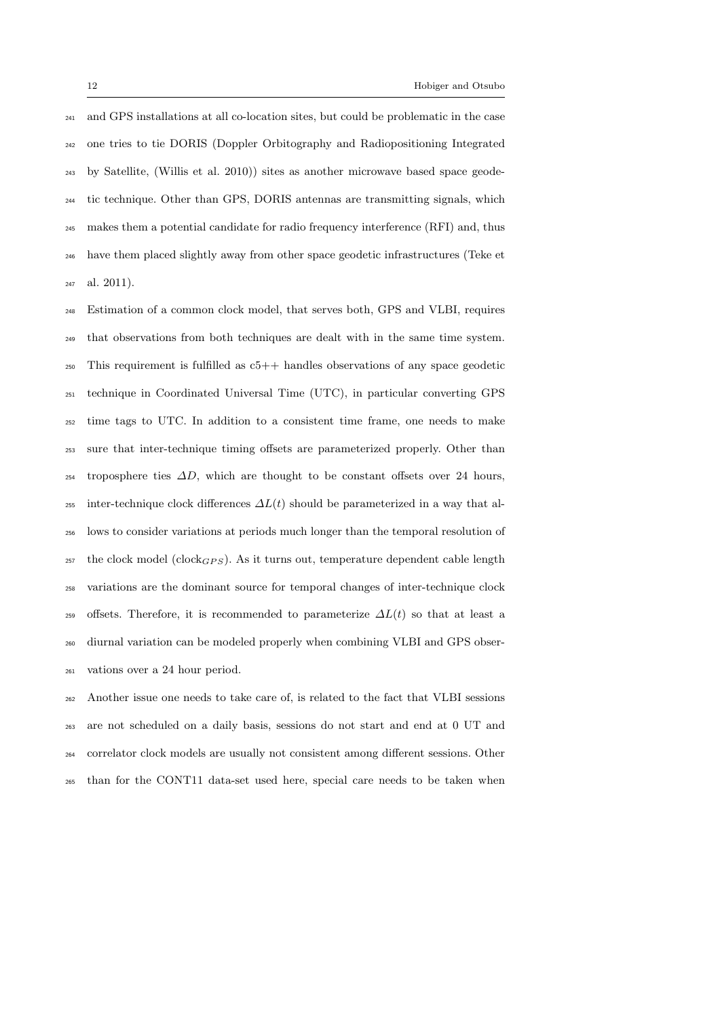and GPS installations at all co-location sites, but could be problematic in the case one tries to tie DORIS (Doppler Orbitography and Radiopositioning Integrated by Satellite, (Willis et al. 2010)) sites as another microwave based space geode- tic technique. Other than GPS, DORIS antennas are transmitting signals, which makes them a potential candidate for radio frequency interference (RFI) and, thus have them placed slightly away from other space geodetic infrastructures (Teke et al. 2011).

 Estimation of a common clock model, that serves both, GPS and VLBI, requires that observations from both techniques are dealt with in the same time system.  $_{250}$  This requirement is fulfilled as  $c_{5}++$  handles observations of any space geodetic technique in Coordinated Universal Time (UTC), in particular converting GPS time tags to UTC. In addition to a consistent time frame, one needs to make sure that inter-technique timing offsets are parameterized properly. Other than troposphere ties  $\Delta D$ , which are thought to be constant offsets over 24 hours, 255 inter-technique clock differences  $\Delta L(t)$  should be parameterized in a way that al- lows to consider variations at periods much longer than the temporal resolution of <sup>257</sup> the clock model (clock<sub>GPS</sub>). As it turns out, temperature dependent cable length variations are the dominant source for temporal changes of inter-technique clock 259 offsets. Therefore, it is recommended to parameterize  $\Delta L(t)$  so that at least a diurnal variation can be modeled properly when combining VLBI and GPS obser-vations over a 24 hour period.

 Another issue one needs to take care of, is related to the fact that VLBI sessions are not scheduled on a daily basis, sessions do not start and end at 0 UT and correlator clock models are usually not consistent among different sessions. Other than for the CONT11 data-set used here, special care needs to be taken when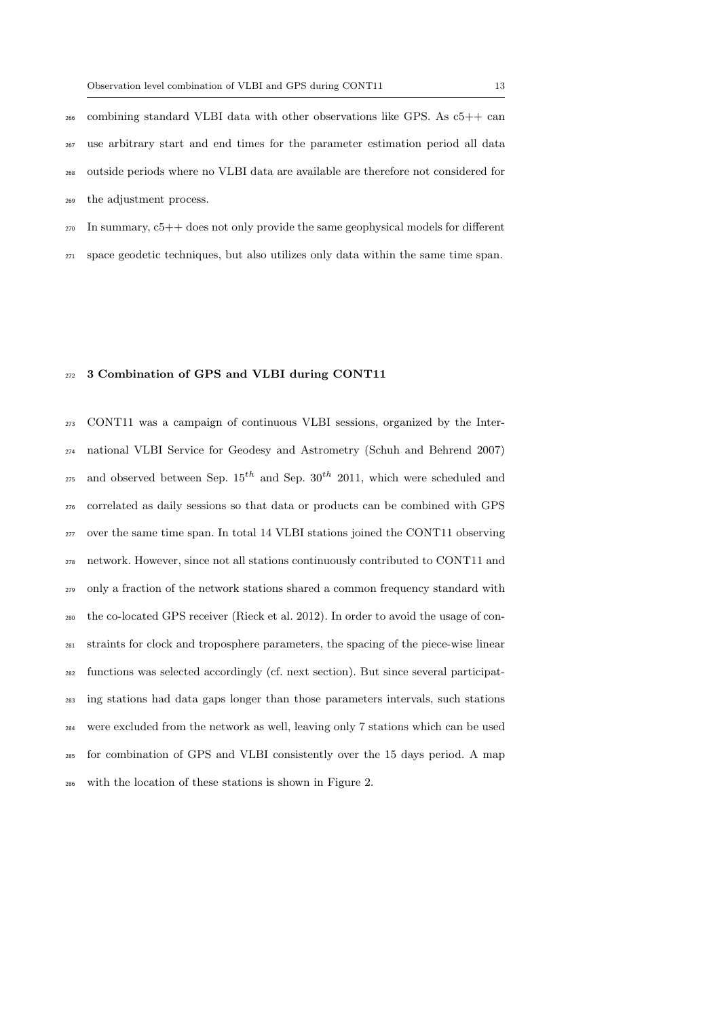combining standard VLBI data with other observations like GPS. As  $c5++$  can use arbitrary start and end times for the parameter estimation period all data outside periods where no VLBI data are available are therefore not considered for the adjustment process.

 In summary,  $c5++$  does not only provide the same geophysical models for different space geodetic techniques, but also utilizes only data within the same time span.

### 272 3 Combination of GPS and VLBI during CONT11

 CONT11 was a campaign of continuous VLBI sessions, organized by the Inter- national VLBI Service for Geodesy and Astrometry (Schuh and Behrend 2007) <sup>275</sup> and observed between Sep.  $15^{th}$  and Sep.  $30^{th}$  2011, which were scheduled and correlated as daily sessions so that data or products can be combined with GPS over the same time span. In total 14 VLBI stations joined the CONT11 observing network. However, since not all stations continuously contributed to CONT11 and only a fraction of the network stations shared a common frequency standard with the co-located GPS receiver (Rieck et al. 2012). In order to avoid the usage of con- straints for clock and troposphere parameters, the spacing of the piece-wise linear functions was selected accordingly (cf. next section). But since several participat- ing stations had data gaps longer than those parameters intervals, such stations were excluded from the network as well, leaving only 7 stations which can be used for combination of GPS and VLBI consistently over the 15 days period. A map with the location of these stations is shown in Figure 2.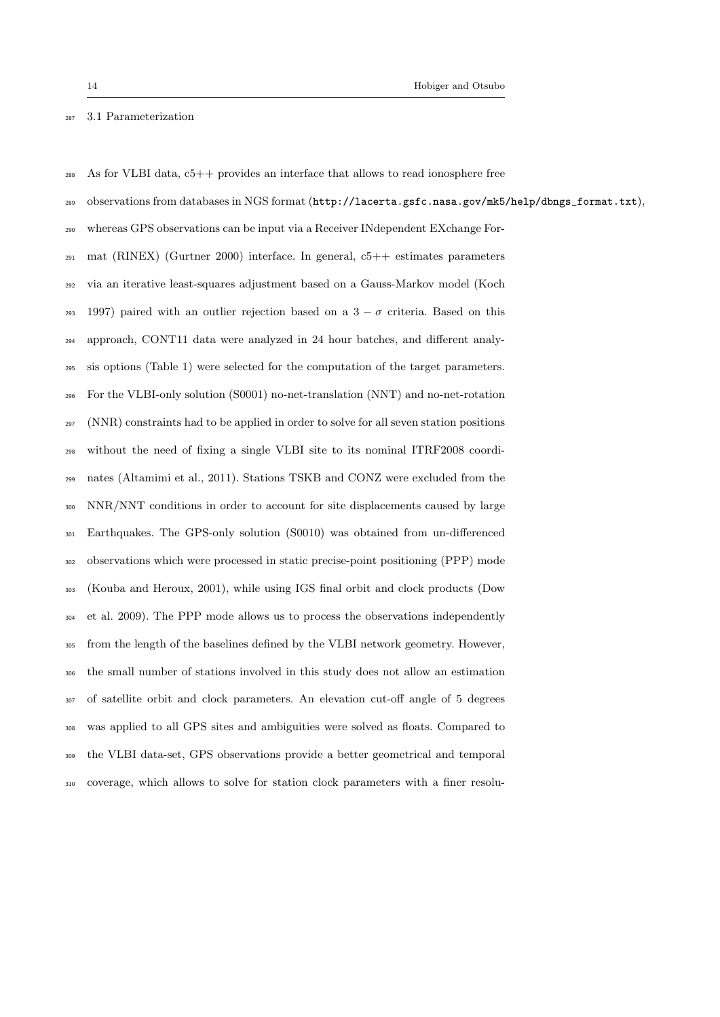## 3.1 Parameterization

 As for VLBI data, c5++ provides an interface that allows to read ionosphere free observations from databases in NGS format (http://lacerta.gsfc.nasa.gov/mk5/help/dbngs\_format.txt), whereas GPS observations can be input via a Receiver INdependent EXchange For- mat (RINEX) (Gurtner 2000) interface. In general, c5++ estimates parameters via an iterative least-squares adjustment based on a Gauss-Markov model (Koch 293 1997) paired with an outlier rejection based on a  $3 - \sigma$  criteria. Based on this approach, CONT11 data were analyzed in 24 hour batches, and different analy- sis options (Table 1) were selected for the computation of the target parameters. For the VLBI-only solution (S0001) no-net-translation (NNT) and no-net-rotation (NNR) constraints had to be applied in order to solve for all seven station positions without the need of fixing a single VLBI site to its nominal ITRF2008 coordi- nates (Altamimi et al., 2011). Stations TSKB and CONZ were excluded from the NNR/NNT conditions in order to account for site displacements caused by large Earthquakes. The GPS-only solution (S0010) was obtained from un-differenced observations which were processed in static precise-point positioning (PPP) mode (Kouba and Heroux, 2001), while using IGS final orbit and clock products (Dow et al. 2009). The PPP mode allows us to process the observations independently from the length of the baselines defined by the VLBI network geometry. However, the small number of stations involved in this study does not allow an estimation of satellite orbit and clock parameters. An elevation cut-off angle of 5 degrees was applied to all GPS sites and ambiguities were solved as floats. Compared to the VLBI data-set, GPS observations provide a better geometrical and temporal coverage, which allows to solve for station clock parameters with a finer resolu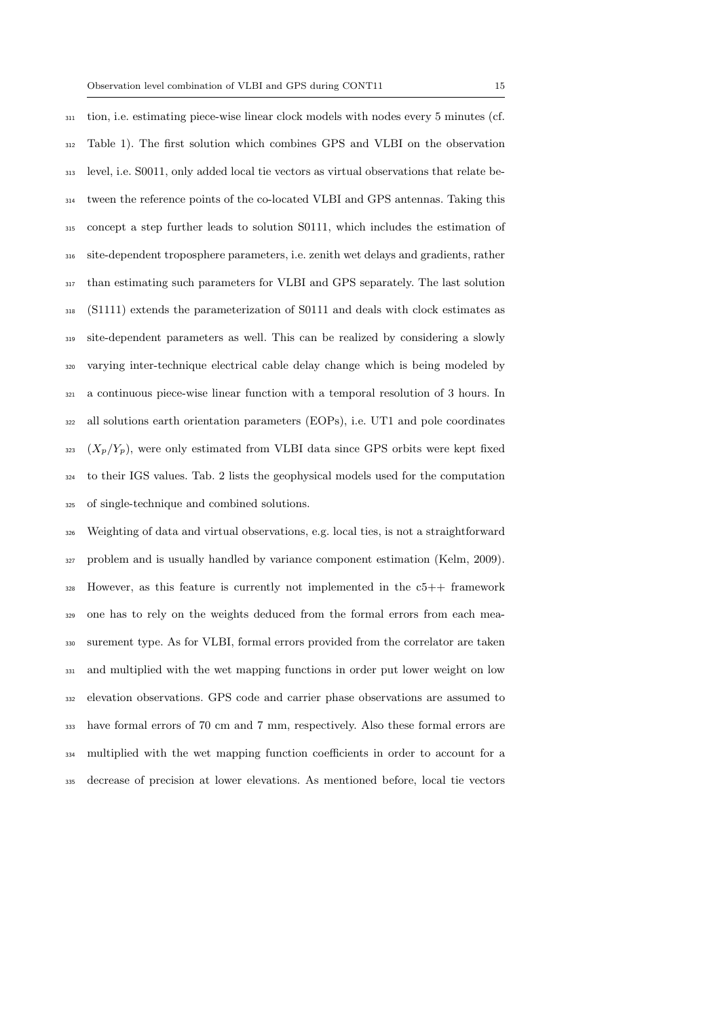tion, i.e. estimating piece-wise linear clock models with nodes every 5 minutes (cf. Table 1). The first solution which combines GPS and VLBI on the observation level, i.e. S0011, only added local tie vectors as virtual observations that relate be- tween the reference points of the co-located VLBI and GPS antennas. Taking this concept a step further leads to solution S0111, which includes the estimation of site-dependent troposphere parameters, i.e. zenith wet delays and gradients, rather than estimating such parameters for VLBI and GPS separately. The last solution (S1111) extends the parameterization of S0111 and deals with clock estimates as site-dependent parameters as well. This can be realized by considering a slowly varying inter-technique electrical cable delay change which is being modeled by a continuous piece-wise linear function with a temporal resolution of 3 hours. In all solutions earth orientation parameters (EOPs), i.e. UT1 and pole coordinates  $X_2$  ( $X_p/Y_p$ ), were only estimated from VLBI data since GPS orbits were kept fixed to their IGS values. Tab. 2 lists the geophysical models used for the computation of single-technique and combined solutions.

 Weighting of data and virtual observations, e.g. local ties, is not a straightforward problem and is usually handled by variance component estimation (Kelm, 2009). However, as this feature is currently not implemented in the  $c5++$  framework one has to rely on the weights deduced from the formal errors from each mea- surement type. As for VLBI, formal errors provided from the correlator are taken and multiplied with the wet mapping functions in order put lower weight on low elevation observations. GPS code and carrier phase observations are assumed to have formal errors of 70 cm and 7 mm, respectively. Also these formal errors are multiplied with the wet mapping function coefficients in order to account for a decrease of precision at lower elevations. As mentioned before, local tie vectors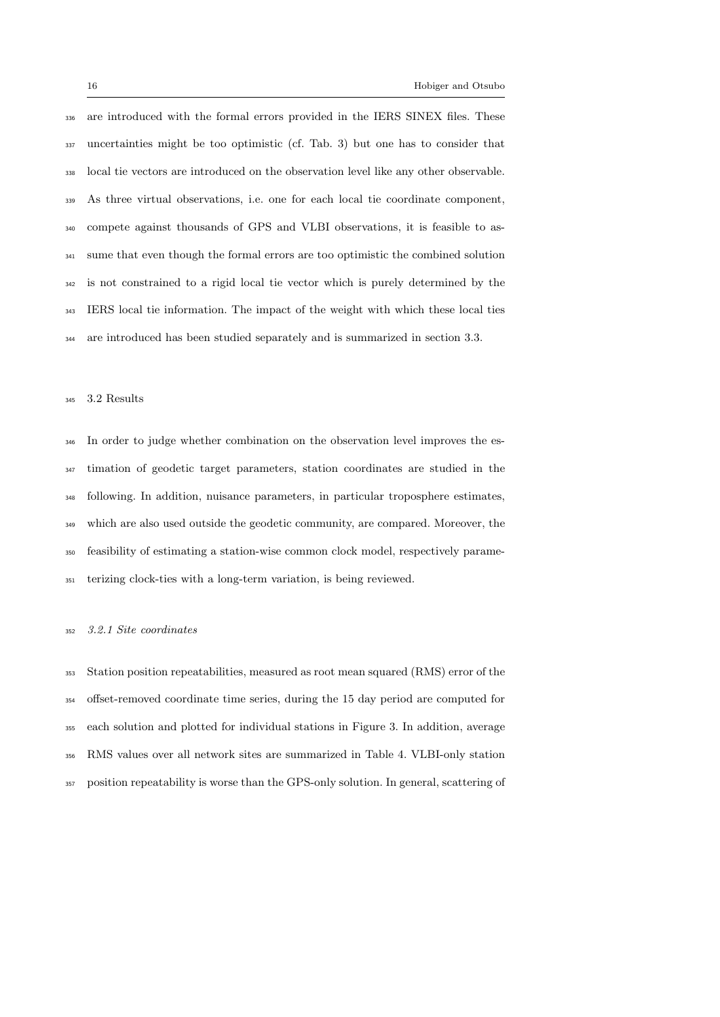are introduced with the formal errors provided in the IERS SINEX files. These uncertainties might be too optimistic (cf. Tab. 3) but one has to consider that local tie vectors are introduced on the observation level like any other observable. As three virtual observations, i.e. one for each local tie coordinate component, compete against thousands of GPS and VLBI observations, it is feasible to as- sume that even though the formal errors are too optimistic the combined solution is not constrained to a rigid local tie vector which is purely determined by the IERS local tie information. The impact of the weight with which these local ties are introduced has been studied separately and is summarized in section 3.3.

## 3.2 Results

 In order to judge whether combination on the observation level improves the es- timation of geodetic target parameters, station coordinates are studied in the following. In addition, nuisance parameters, in particular troposphere estimates, which are also used outside the geodetic community, are compared. Moreover, the feasibility of estimating a station-wise common clock model, respectively parame-terizing clock-ties with a long-term variation, is being reviewed.

## 3.2.1 Site coordinates

 Station position repeatabilities, measured as root mean squared (RMS) error of the offset-removed coordinate time series, during the 15 day period are computed for each solution and plotted for individual stations in Figure 3. In addition, average RMS values over all network sites are summarized in Table 4. VLBI-only station position repeatability is worse than the GPS-only solution. In general, scattering of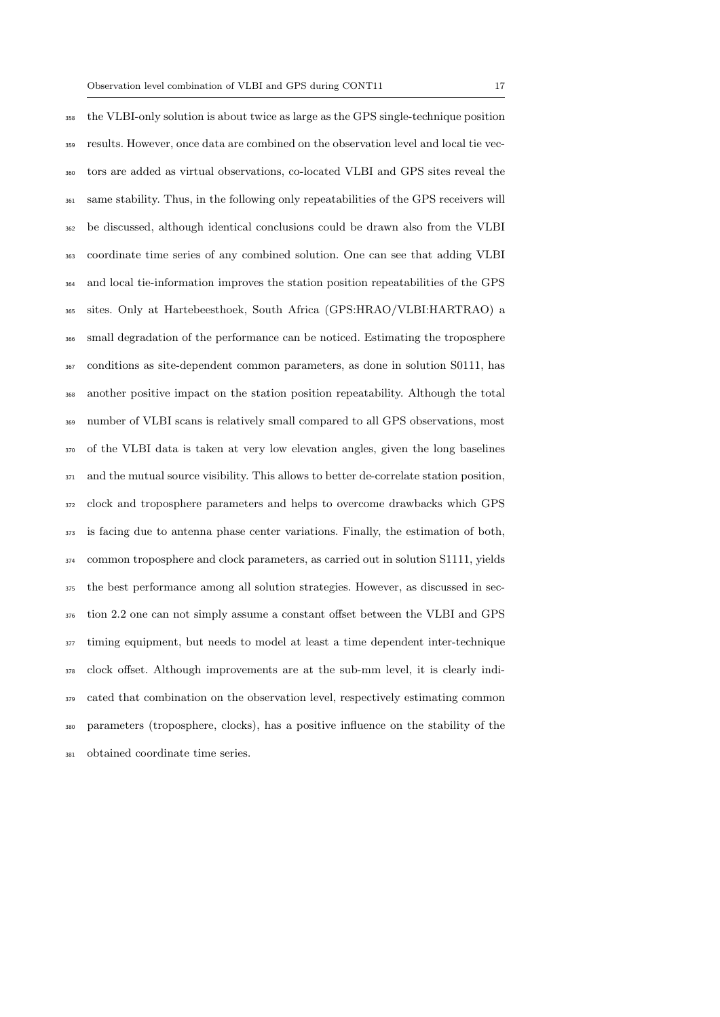the VLBI-only solution is about twice as large as the GPS single-technique position results. However, once data are combined on the observation level and local tie vec- tors are added as virtual observations, co-located VLBI and GPS sites reveal the same stability. Thus, in the following only repeatabilities of the GPS receivers will be discussed, although identical conclusions could be drawn also from the VLBI coordinate time series of any combined solution. One can see that adding VLBI and local tie-information improves the station position repeatabilities of the GPS sites. Only at Hartebeesthoek, South Africa (GPS:HRAO/VLBI:HARTRAO) a small degradation of the performance can be noticed. Estimating the troposphere conditions as site-dependent common parameters, as done in solution S0111, has another positive impact on the station position repeatability. Although the total number of VLBI scans is relatively small compared to all GPS observations, most of the VLBI data is taken at very low elevation angles, given the long baselines and the mutual source visibility. This allows to better de-correlate station position, clock and troposphere parameters and helps to overcome drawbacks which GPS is facing due to antenna phase center variations. Finally, the estimation of both, common troposphere and clock parameters, as carried out in solution S1111, yields the best performance among all solution strategies. However, as discussed in sec- tion 2.2 one can not simply assume a constant offset between the VLBI and GPS <sup>377</sup> timing equipment, but needs to model at least a time dependent inter-technique clock offset. Although improvements are at the sub-mm level, it is clearly indi- cated that combination on the observation level, respectively estimating common parameters (troposphere, clocks), has a positive influence on the stability of the obtained coordinate time series.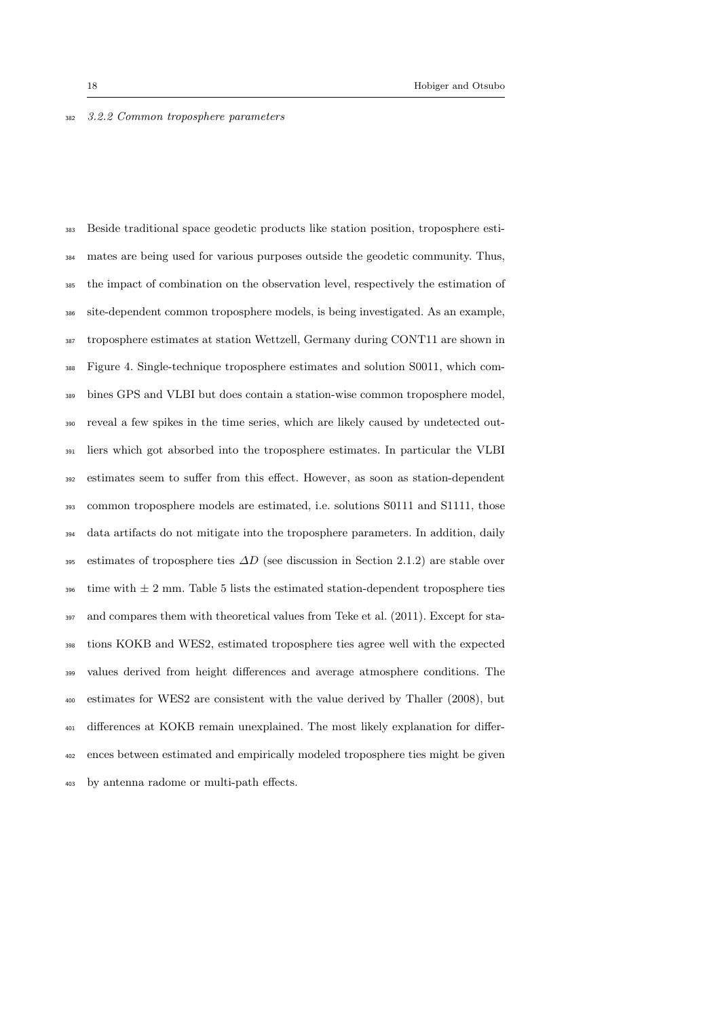## 3.2.2 Common troposphere parameters

 Beside traditional space geodetic products like station position, troposphere esti- mates are being used for various purposes outside the geodetic community. Thus, the impact of combination on the observation level, respectively the estimation of site-dependent common troposphere models, is being investigated. As an example, troposphere estimates at station Wettzell, Germany during CONT11 are shown in Figure 4. Single-technique troposphere estimates and solution S0011, which com- bines GPS and VLBI but does contain a station-wise common troposphere model, reveal a few spikes in the time series, which are likely caused by undetected out- liers which got absorbed into the troposphere estimates. In particular the VLBI estimates seem to suffer from this effect. However, as soon as station-dependent common troposphere models are estimated, i.e. solutions S0111 and S1111, those data artifacts do not mitigate into the troposphere parameters. In addition, daily 395 estimates of troposphere ties  $\Delta D$  (see discussion in Section 2.1.2) are stable over  $\frac{396}{100}$  time with  $\pm 2$  mm. Table 5 lists the estimated station-dependent troposphere ties and compares them with theoretical values from Teke et al. (2011). Except for sta- tions KOKB and WES2, estimated troposphere ties agree well with the expected values derived from height differences and average atmosphere conditions. The estimates for WES2 are consistent with the value derived by Thaller (2008), but differences at KOKB remain unexplained. The most likely explanation for differ- ences between estimated and empirically modeled troposphere ties might be given by antenna radome or multi-path effects.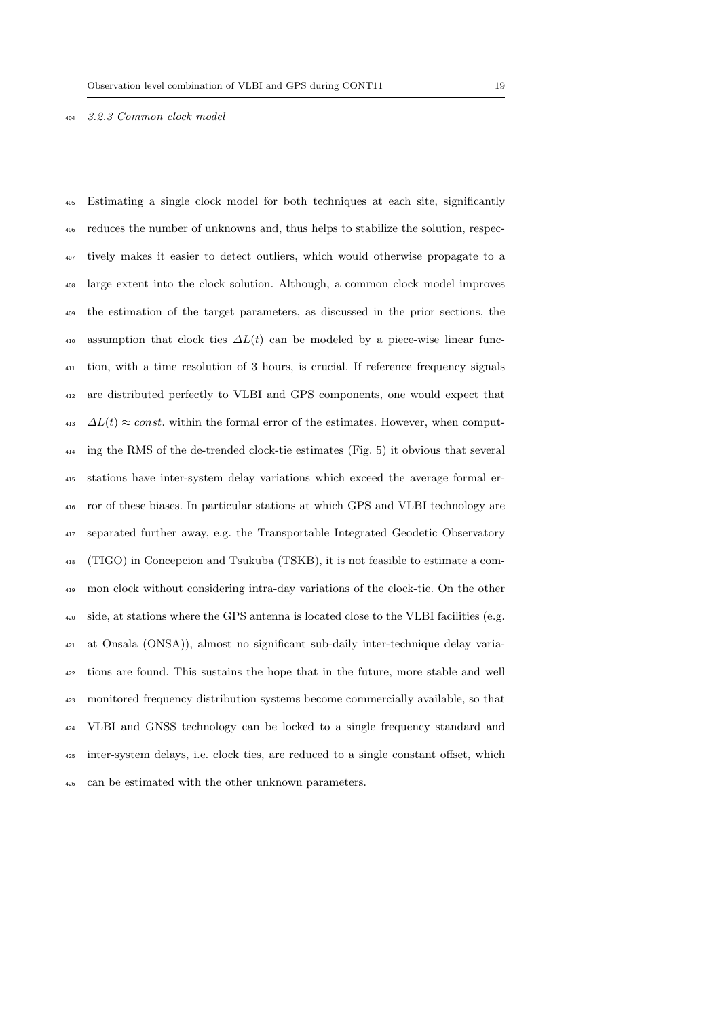3.2.3 Common clock model

 Estimating a single clock model for both techniques at each site, significantly reduces the number of unknowns and, thus helps to stabilize the solution, respec- tively makes it easier to detect outliers, which would otherwise propagate to a large extent into the clock solution. Although, a common clock model improves the estimation of the target parameters, as discussed in the prior sections, the 410 assumption that clock ties  $\Delta L(t)$  can be modeled by a piece-wise linear func- tion, with a time resolution of 3 hours, is crucial. If reference frequency signals are distributed perfectly to VLBI and GPS components, one would expect that  $\Delta L(t) \approx const.$  within the formal error of the estimates. However, when comput- ing the RMS of the de-trended clock-tie estimates (Fig. 5) it obvious that several stations have inter-system delay variations which exceed the average formal er- ror of these biases. In particular stations at which GPS and VLBI technology are separated further away, e.g. the Transportable Integrated Geodetic Observatory (TIGO) in Concepcion and Tsukuba (TSKB), it is not feasible to estimate a com- mon clock without considering intra-day variations of the clock-tie. On the other side, at stations where the GPS antenna is located close to the VLBI facilities (e.g. at Onsala (ONSA)), almost no significant sub-daily inter-technique delay varia- tions are found. This sustains the hope that in the future, more stable and well monitored frequency distribution systems become commercially available, so that VLBI and GNSS technology can be locked to a single frequency standard and inter-system delays, i.e. clock ties, are reduced to a single constant offset, which can be estimated with the other unknown parameters.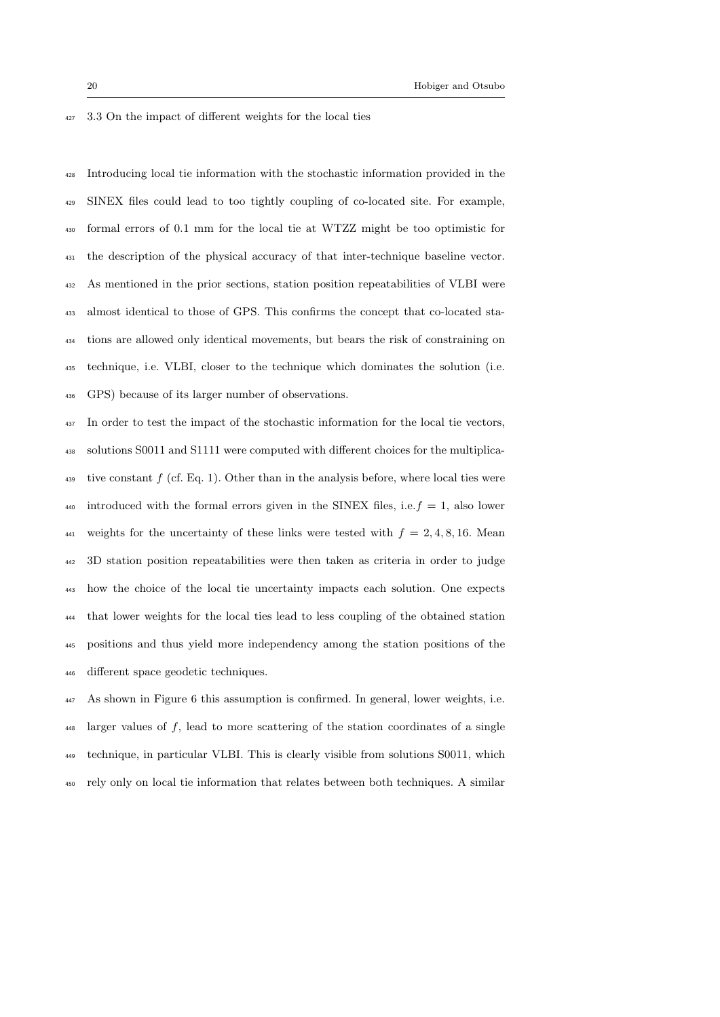3.3 On the impact of different weights for the local ties

 Introducing local tie information with the stochastic information provided in the SINEX files could lead to too tightly coupling of co-located site. For example, formal errors of 0.1 mm for the local tie at WTZZ might be too optimistic for the description of the physical accuracy of that inter-technique baseline vector. As mentioned in the prior sections, station position repeatabilities of VLBI were almost identical to those of GPS. This confirms the concept that co-located sta- tions are allowed only identical movements, but bears the risk of constraining on technique, i.e. VLBI, closer to the technique which dominates the solution (i.e. GPS) because of its larger number of observations.

 In order to test the impact of the stochastic information for the local tie vectors, solutions S0011 and S1111 were computed with different choices for the multiplicative constant  $f$  (cf. Eq. 1). Other than in the analysis before, where local ties were <sup>440</sup> introduced with the formal errors given in the SINEX files, i.e.  $f = 1$ , also lower 441 weights for the uncertainty of these links were tested with  $f = 2, 4, 8, 16$ . Mean 3D station position repeatabilities were then taken as criteria in order to judge how the choice of the local tie uncertainty impacts each solution. One expects that lower weights for the local ties lead to less coupling of the obtained station positions and thus yield more independency among the station positions of the different space geodetic techniques.

 As shown in Figure 6 this assumption is confirmed. In general, lower weights, i.e. larger values of f, lead to more scattering of the station coordinates of a single technique, in particular VLBI. This is clearly visible from solutions S0011, which rely only on local tie information that relates between both techniques. A similar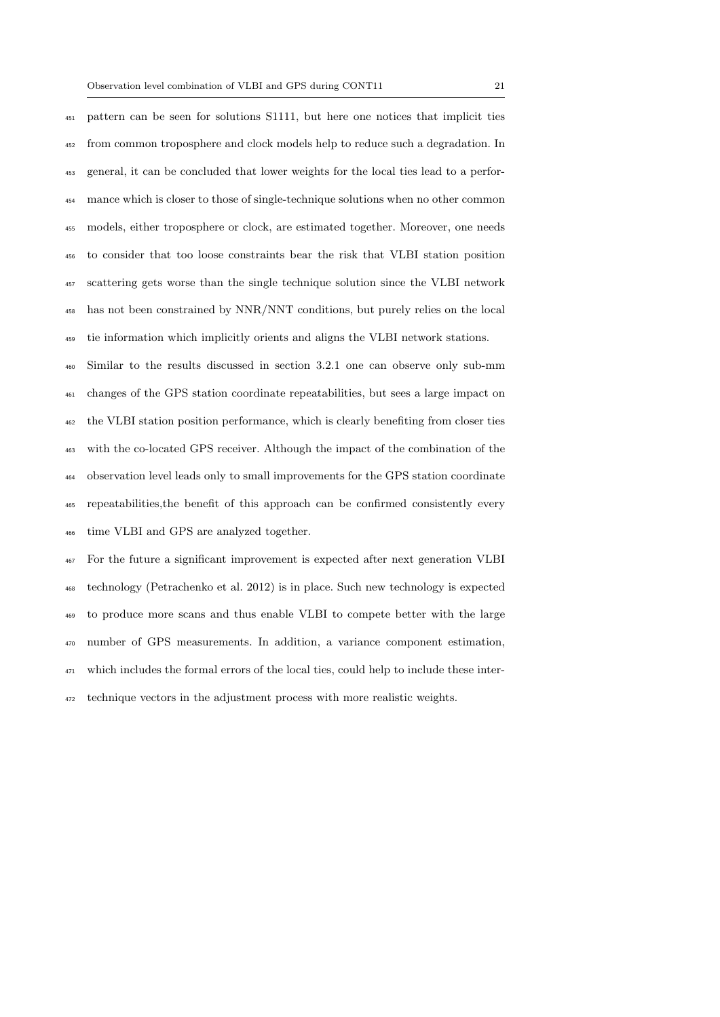pattern can be seen for solutions S1111, but here one notices that implicit ties from common troposphere and clock models help to reduce such a degradation. In general, it can be concluded that lower weights for the local ties lead to a perfor- mance which is closer to those of single-technique solutions when no other common models, either troposphere or clock, are estimated together. Moreover, one needs to consider that too loose constraints bear the risk that VLBI station position scattering gets worse than the single technique solution since the VLBI network has not been constrained by NNR/NNT conditions, but purely relies on the local tie information which implicitly orients and aligns the VLBI network stations.

 Similar to the results discussed in section 3.2.1 one can observe only sub-mm changes of the GPS station coordinate repeatabilities, but sees a large impact on the VLBI station position performance, which is clearly benefiting from closer ties with the co-located GPS receiver. Although the impact of the combination of the observation level leads only to small improvements for the GPS station coordinate repeatabilities,the benefit of this approach can be confirmed consistently every time VLBI and GPS are analyzed together.

 For the future a significant improvement is expected after next generation VLBI technology (Petrachenko et al. 2012) is in place. Such new technology is expected to produce more scans and thus enable VLBI to compete better with the large number of GPS measurements. In addition, a variance component estimation, which includes the formal errors of the local ties, could help to include these inter-technique vectors in the adjustment process with more realistic weights.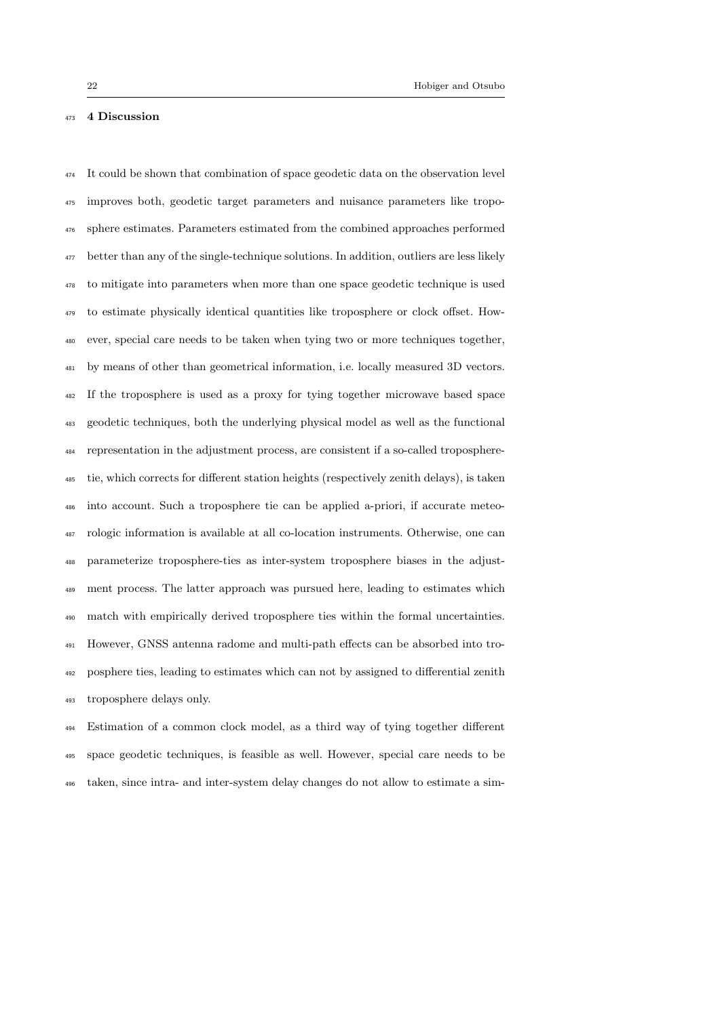## 4 Discussion

 It could be shown that combination of space geodetic data on the observation level improves both, geodetic target parameters and nuisance parameters like tropo- sphere estimates. Parameters estimated from the combined approaches performed better than any of the single-technique solutions. In addition, outliers are less likely to mitigate into parameters when more than one space geodetic technique is used to estimate physically identical quantities like troposphere or clock offset. How- ever, special care needs to be taken when tying two or more techniques together, by means of other than geometrical information, i.e. locally measured 3D vectors. If the troposphere is used as a proxy for tying together microwave based space geodetic techniques, both the underlying physical model as well as the functional representation in the adjustment process, are consistent if a so-called troposphere- tie, which corrects for different station heights (respectively zenith delays), is taken into account. Such a troposphere tie can be applied a-priori, if accurate meteo- rologic information is available at all co-location instruments. Otherwise, one can parameterize troposphere-ties as inter-system troposphere biases in the adjust- ment process. The latter approach was pursued here, leading to estimates which match with empirically derived troposphere ties within the formal uncertainties. However, GNSS antenna radome and multi-path effects can be absorbed into tro- posphere ties, leading to estimates which can not by assigned to differential zenith troposphere delays only.

 Estimation of a common clock model, as a third way of tying together different space geodetic techniques, is feasible as well. However, special care needs to be taken, since intra- and inter-system delay changes do not allow to estimate a sim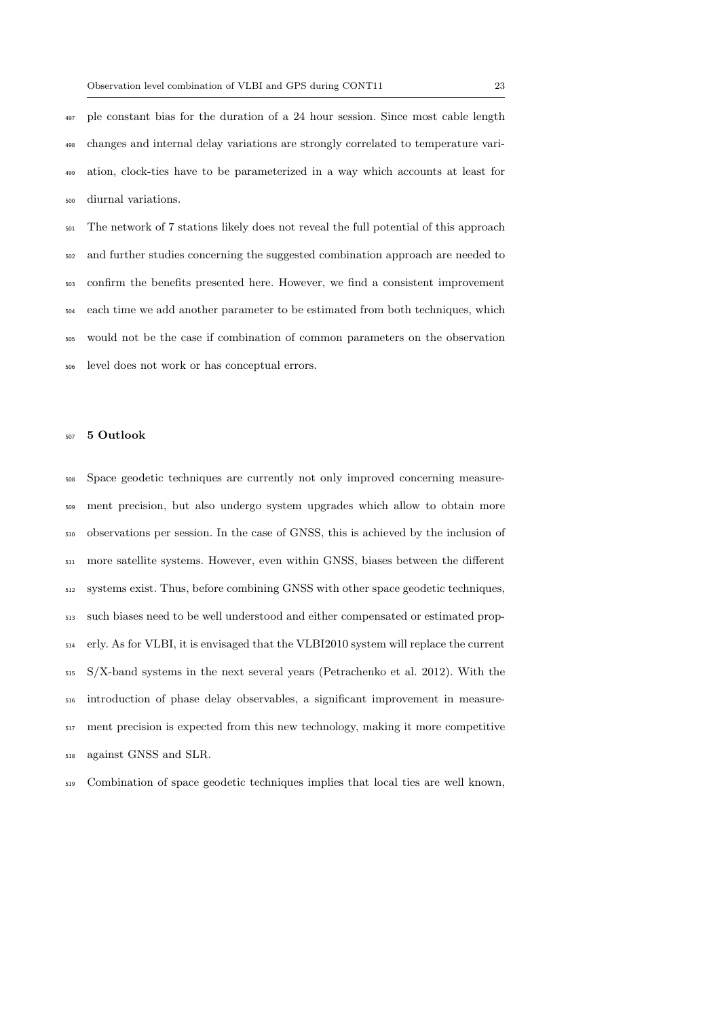ple constant bias for the duration of a 24 hour session. Since most cable length changes and internal delay variations are strongly correlated to temperature vari- ation, clock-ties have to be parameterized in a way which accounts at least for diurnal variations.

 The network of 7 stations likely does not reveal the full potential of this approach and further studies concerning the suggested combination approach are needed to confirm the benefits presented here. However, we find a consistent improvement each time we add another parameter to be estimated from both techniques, which would not be the case if combination of common parameters on the observation level does not work or has conceptual errors.

## 5 Outlook

 Space geodetic techniques are currently not only improved concerning measure- ment precision, but also undergo system upgrades which allow to obtain more observations per session. In the case of GNSS, this is achieved by the inclusion of more satellite systems. However, even within GNSS, biases between the different systems exist. Thus, before combining GNSS with other space geodetic techniques, such biases need to be well understood and either compensated or estimated prop- erly. As for VLBI, it is envisaged that the VLBI2010 system will replace the current S/X-band systems in the next several years (Petrachenko et al. 2012). With the introduction of phase delay observables, a significant improvement in measure- ment precision is expected from this new technology, making it more competitive against GNSS and SLR.

Combination of space geodetic techniques implies that local ties are well known,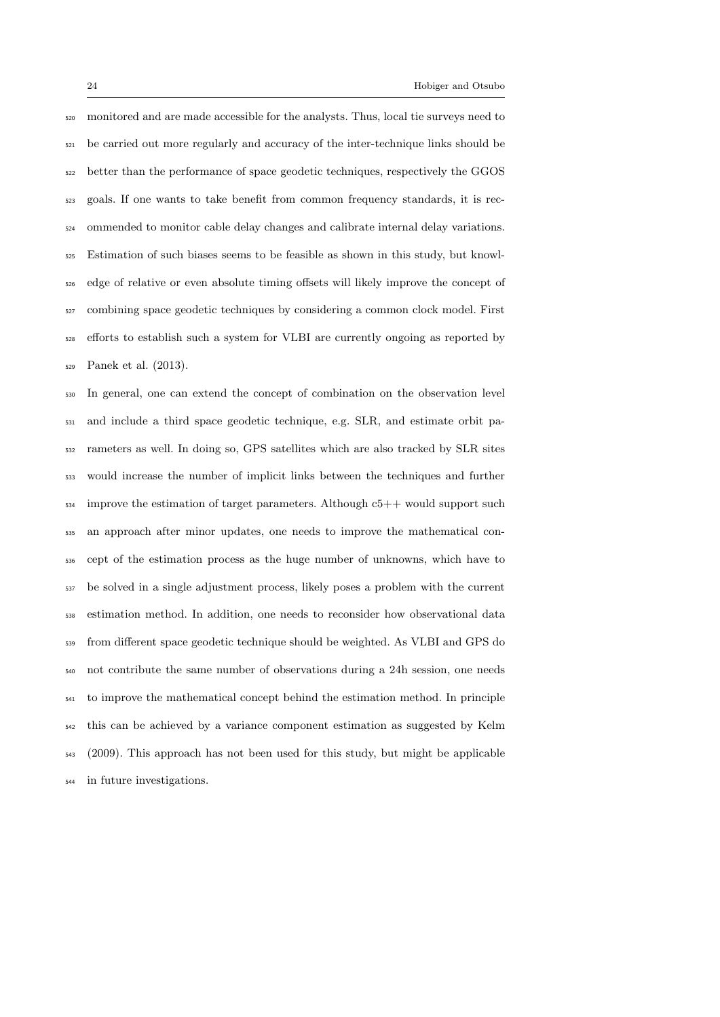monitored and are made accessible for the analysts. Thus, local tie surveys need to be carried out more regularly and accuracy of the inter-technique links should be better than the performance of space geodetic techniques, respectively the GGOS goals. If one wants to take benefit from common frequency standards, it is rec- ommended to monitor cable delay changes and calibrate internal delay variations. Estimation of such biases seems to be feasible as shown in this study, but knowl- edge of relative or even absolute timing offsets will likely improve the concept of combining space geodetic techniques by considering a common clock model. First efforts to establish such a system for VLBI are currently ongoing as reported by Panek et al. (2013).

 In general, one can extend the concept of combination on the observation level and include a third space geodetic technique, e.g. SLR, and estimate orbit pa- rameters as well. In doing so, GPS satellites which are also tracked by SLR sites would increase the number of implicit links between the techniques and further improve the estimation of target parameters. Although c5++ would support such an approach after minor updates, one needs to improve the mathematical con- cept of the estimation process as the huge number of unknowns, which have to be solved in a single adjustment process, likely poses a problem with the current estimation method. In addition, one needs to reconsider how observational data from different space geodetic technique should be weighted. As VLBI and GPS do not contribute the same number of observations during a 24h session, one needs to improve the mathematical concept behind the estimation method. In principle this can be achieved by a variance component estimation as suggested by Kelm (2009). This approach has not been used for this study, but might be applicable in future investigations.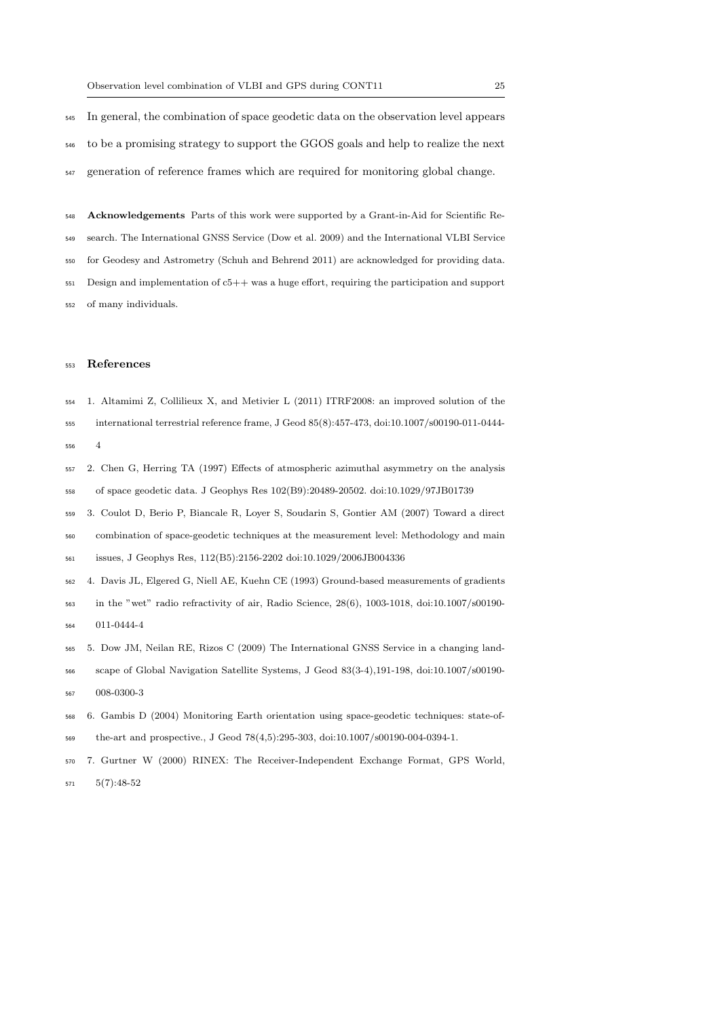In general, the combination of space geodetic data on the observation level appears to be a promising strategy to support the GGOS goals and help to realize the next generation of reference frames which are required for monitoring global change.

 Acknowledgements Parts of this work were supported by a Grant-in-Aid for Scientific Re- search. The International GNSS Service (Dow et al. 2009) and the International VLBI Service for Geodesy and Astrometry (Schuh and Behrend 2011) are acknowledged for providing data. Design and implementation of  $c5++$  was a huge effort, requiring the participation and support of many individuals.

## References

- 1. Altamimi Z, Collilieux X, and Metivier L (2011) ITRF2008: an improved solution of the
- international terrestrial reference frame, J Geod 85(8):457-473, doi:10.1007/s00190-011-0444- 4
- 2. Chen G, Herring TA (1997) Effects of atmospheric azimuthal asymmetry on the analysis of space geodetic data. J Geophys Res 102(B9):20489-20502. doi:10.1029/97JB01739
- 3. Coulot D, Berio P, Biancale R, Loyer S, Soudarin S, Gontier AM (2007) Toward a direct
- combination of space-geodetic techniques at the measurement level: Methodology and main issues, J Geophys Res, 112(B5):2156-2202 doi:10.1029/2006JB004336
- 4. Davis JL, Elgered G, Niell AE, Kuehn CE (1993) Ground-based measurements of gradients
- in the "wet" radio refractivity of air, Radio Science, 28(6), 1003-1018, doi:10.1007/s00190- 011-0444-4
- 5. Dow JM, Neilan RE, Rizos C (2009) The International GNSS Service in a changing land-
- scape of Global Navigation Satellite Systems, J Geod 83(3-4),191-198, doi:10.1007/s00190- 008-0300-3
- 6. Gambis D (2004) Monitoring Earth orientation using space-geodetic techniques: state-of-the-art and prospective., J Geod 78(4,5):295-303, doi:10.1007/s00190-004-0394-1.
- 7. Gurtner W (2000) RINEX: The Receiver-Independent Exchange Format, GPS World,
- 5(7):48-52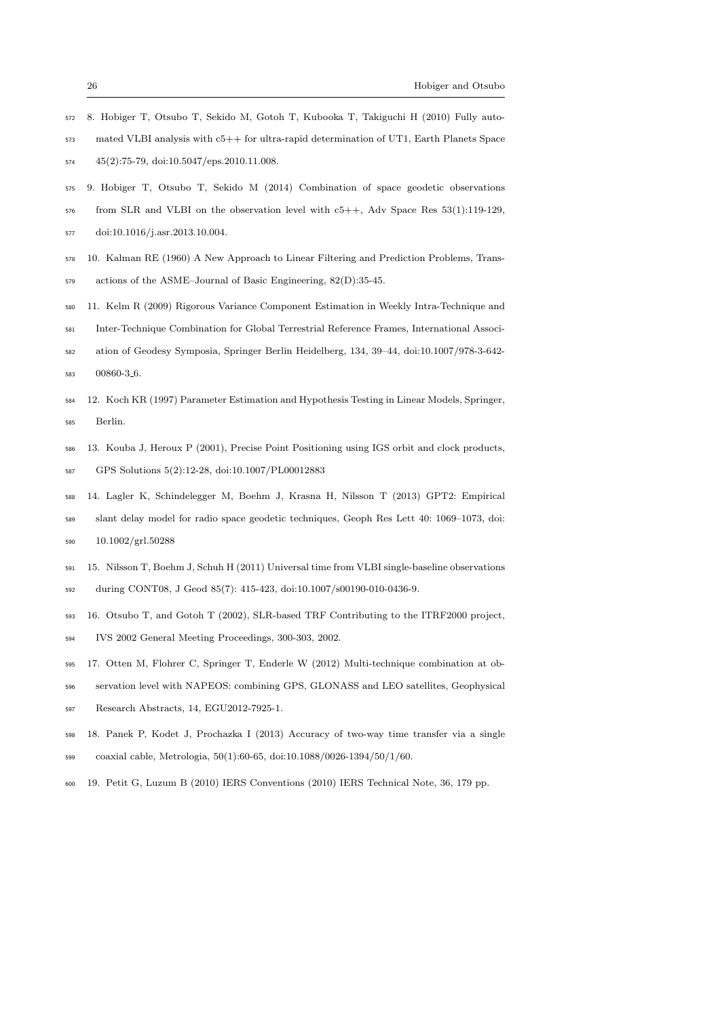- 8. Hobiger T, Otsubo T, Sekido M, Gotoh T, Kubooka T, Takiguchi H (2010) Fully auto-
- mated VLBI analysis with c5++ for ultra-rapid determination of UT1, Earth Planets Space 45(2):75-79, doi:10.5047/eps.2010.11.008.
- 9. Hobiger T, Otsubo T, Sekido M (2014) Combination of space geodetic observations
- from SLR and VLBI on the observation level with  $c5++$ , Adv Space Res  $53(1):119-129$ ,
- doi:10.1016/j.asr.2013.10.004.
- 10. Kalman RE (1960) A New Approach to Linear Filtering and Prediction Problems, Trans-
- actions of the ASME–Journal of Basic Engineering, 82(D):35-45.
- 11. Kelm R (2009) Rigorous Variance Component Estimation in Weekly Intra-Technique and
- Inter-Technique Combination for Global Terrestrial Reference Frames, International Associ-
- ation of Geodesy Symposia, Springer Berlin Heidelberg, 134, 39–44, doi:10.1007/978-3-642- 00860-3 6.
- 12. Koch KR (1997) Parameter Estimation and Hypothesis Testing in Linear Models, Springer, Berlin.
- 13. Kouba J, Heroux P (2001), Precise Point Positioning using IGS orbit and clock products,
- GPS Solutions 5(2):12-28, doi:10.1007/PL00012883
- 14. Lagler K, Schindelegger M, Boehm J, Krasna H, Nilsson T (2013) GPT2: Empirical
- slant delay model for radio space geodetic techniques, Geoph Res Lett 40: 1069–1073, doi: 10.1002/grl.50288
- 15. Nilsson T, Boehm J, Schuh H (2011) Universal time from VLBI single-baseline observations during CONT08, J Geod 85(7): 415-423, doi:10.1007/s00190-010-0436-9.
- 16. Otsubo T, and Gotoh T (2002), SLR-based TRF Contributing to the ITRF2000 project,
- IVS 2002 General Meeting Proceedings, 300-303, 2002.
- 17. Otten M, Flohrer C, Springer T, Enderle W (2012) Multi-technique combination at ob-
- servation level with NAPEOS: combining GPS, GLONASS and LEO satellites, Geophysical
- Research Abstracts, 14, EGU2012-7925-1.
- 18. Panek P, Kodet J, Prochazka I (2013) Accuracy of two-way time transfer via a single
- coaxial cable, Metrologia, 50(1):60-65, doi:10.1088/0026-1394/50/1/60.
- 19. Petit G, Luzum B (2010) IERS Conventions (2010) IERS Technical Note, 36, 179 pp.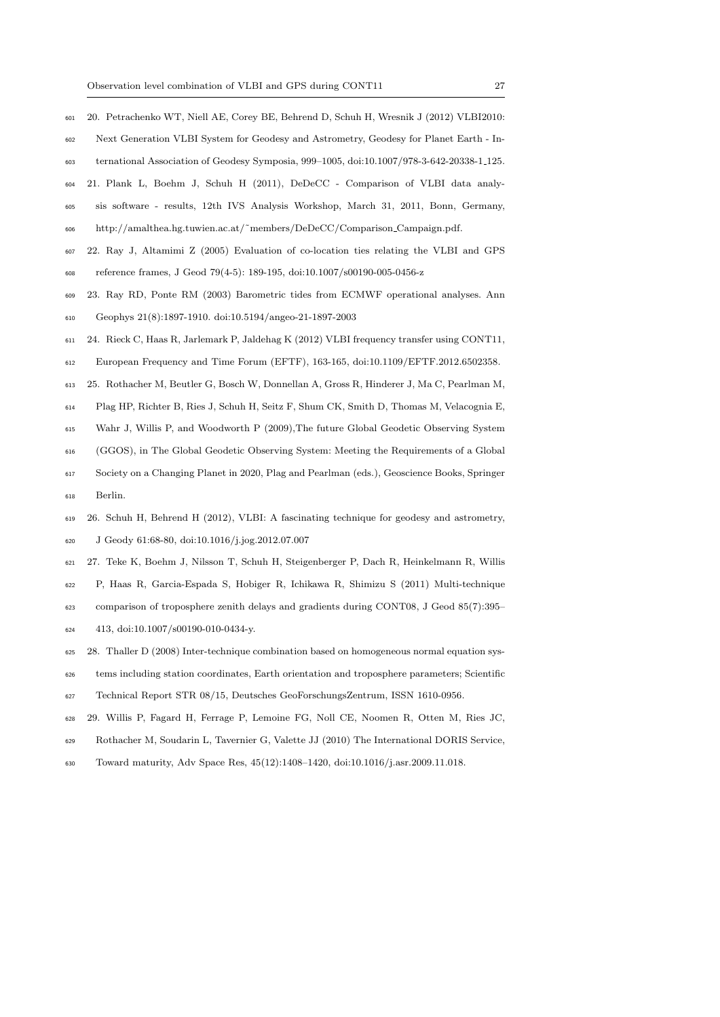- 20. Petrachenko WT, Niell AE, Corey BE, Behrend D, Schuh H, Wresnik J (2012) VLBI2010: Next Generation VLBI System for Geodesy and Astrometry, Geodesy for Planet Earth - In-
- ternational Association of Geodesy Symposia, 999–1005, doi:10.1007/978-3-642-20338-1 125.
- 21. Plank L, Boehm J, Schuh H (2011), DeDeCC Comparison of VLBI data analy-
- sis software results, 12th IVS Analysis Workshop, March 31, 2011, Bonn, Germany,
- http://amalthea.hg.tuwien.ac.at/˜members/DeDeCC/Comparison Campaign.pdf.
- 22. Ray J, Altamimi Z (2005) Evaluation of co-location ties relating the VLBI and GPS
- reference frames, J Geod 79(4-5): 189-195, doi:10.1007/s00190-005-0456-z
- 23. Ray RD, Ponte RM (2003) Barometric tides from ECMWF operational analyses. Ann
- Geophys 21(8):1897-1910. doi:10.5194/angeo-21-1897-2003
- 24. Rieck C, Haas R, Jarlemark P, Jaldehag K (2012) VLBI frequency transfer using CONT11,
- European Frequency and Time Forum (EFTF), 163-165, doi:10.1109/EFTF.2012.6502358.
- 25. Rothacher M, Beutler G, Bosch W, Donnellan A, Gross R, Hinderer J, Ma C, Pearlman M,
- Plag HP, Richter B, Ries J, Schuh H, Seitz F, Shum CK, Smith D, Thomas M, Velacognia E,
- Wahr J, Willis P, and Woodworth P (2009),The future Global Geodetic Observing System
- (GGOS), in The Global Geodetic Observing System: Meeting the Requirements of a Global
- Society on a Changing Planet in 2020, Plag and Pearlman (eds.), Geoscience Books, Springer Berlin.
- 26. Schuh H, Behrend H (2012), VLBI: A fascinating technique for geodesy and astrometry, J Geody 61:68-80, doi:10.1016/j.jog.2012.07.007
- 27. Teke K, Boehm J, Nilsson T, Schuh H, Steigenberger P, Dach R, Heinkelmann R, Willis
- P, Haas R, Garcia-Espada S, Hobiger R, Ichikawa R, Shimizu S (2011) Multi-technique comparison of troposphere zenith delays and gradients during CONT08, J Geod 85(7):395–
- 413, doi:10.1007/s00190-010-0434-y.
- 28. Thaller D (2008) Inter-technique combination based on homogeneous normal equation sys-
- tems including station coordinates, Earth orientation and troposphere parameters; Scientific
- Technical Report STR 08/15, Deutsches GeoForschungsZentrum, ISSN 1610-0956.
- 29. Willis P, Fagard H, Ferrage P, Lemoine FG, Noll CE, Noomen R, Otten M, Ries JC,
- Rothacher M, Soudarin L, Tavernier G, Valette JJ (2010) The International DORIS Service,
- Toward maturity, Adv Space Res, 45(12):1408–1420, doi:10.1016/j.asr.2009.11.018.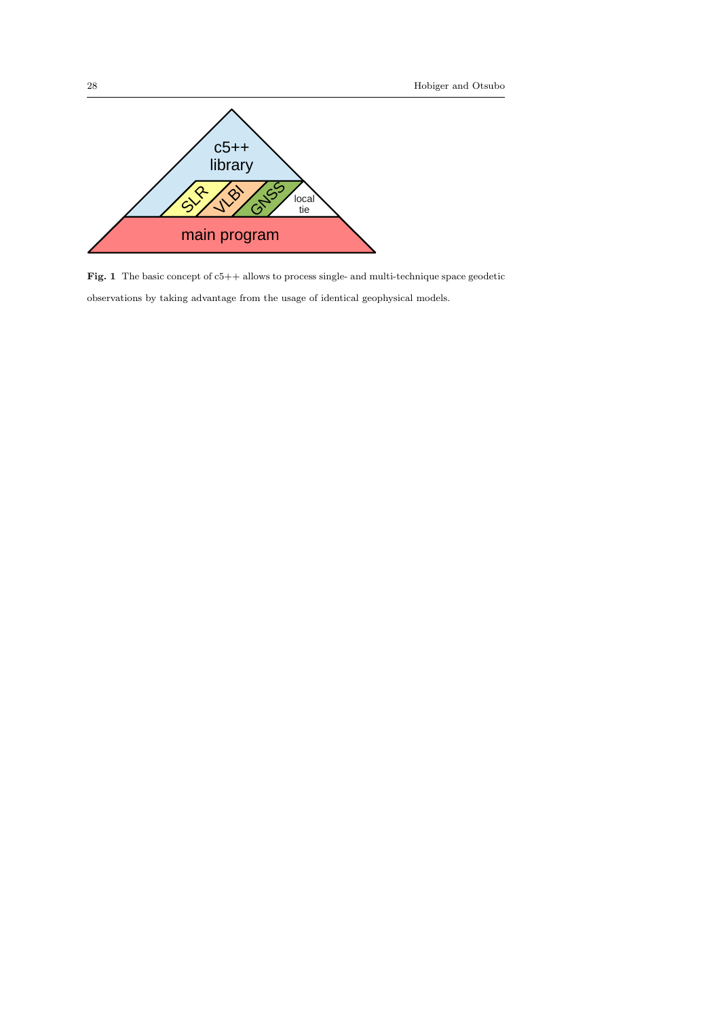

Fig. 1 The basic concept of  $c5++$  allows to process single- and multi-technique space geodetic

observations by taking advantage from the usage of identical geophysical models.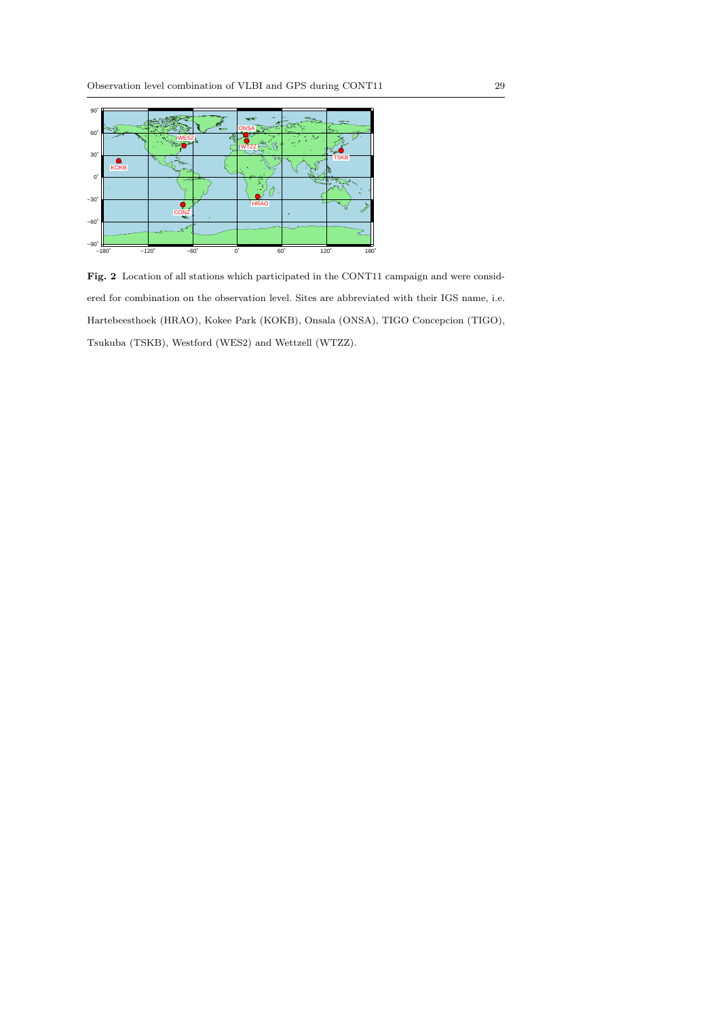

Fig. 2 Location of all stations which participated in the CONT11 campaign and were considered for combination on the observation level. Sites are abbreviated with their IGS name, i.e. Hartebeesthoek (HRAO), Kokee Park (KOKB), Onsala (ONSA), TIGO Concepcion (TIGO), Tsukuba (TSKB), Westford (WES2) and Wettzell (WTZZ).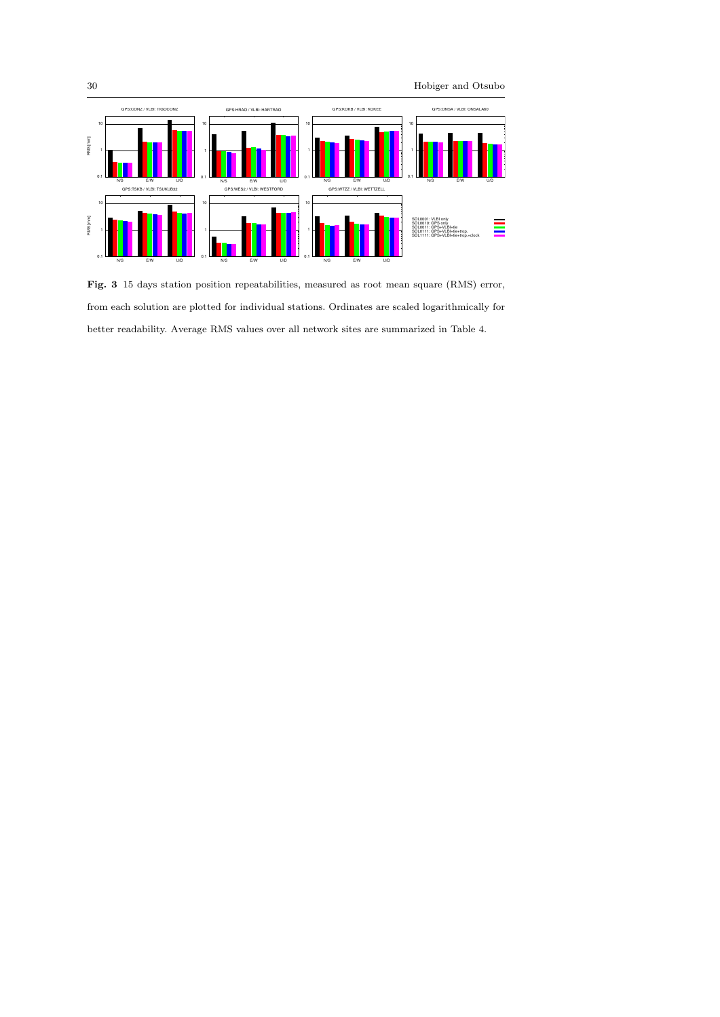

Fig. 3 15 days station position repeatabilities, measured as root mean square (RMS) error, from each solution are plotted for individual stations. Ordinates are scaled logarithmically for better readability. Average RMS values over all network sites are summarized in Table 4.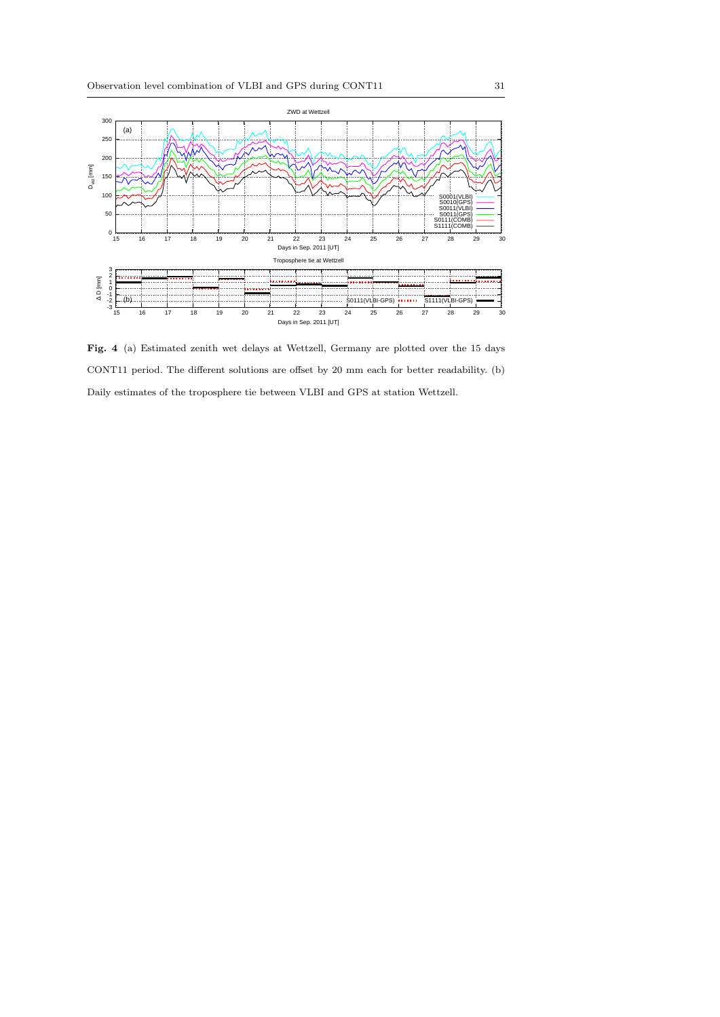

Fig. 4 (a) Estimated zenith wet delays at Wettzell, Germany are plotted over the 15 days CONT11 period. The different solutions are offset by 20 mm each for better readability. (b) Daily estimates of the troposphere tie between VLBI and GPS at station Wettzell.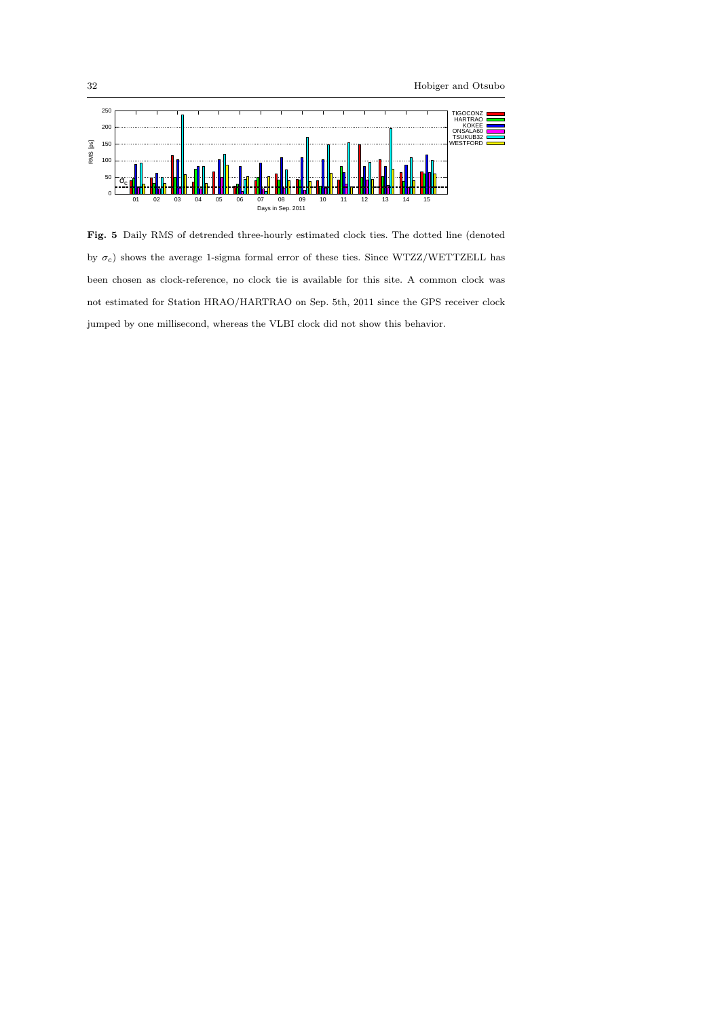

Fig. 5 Daily RMS of detrended three-hourly estimated clock ties. The dotted line (denoted by  $\sigma_c$ ) shows the average 1-sigma formal error of these ties. Since WTZZ/WETTZELL has been chosen as clock-reference, no clock tie is available for this site. A common clock was not estimated for Station HRAO/HARTRAO on Sep. 5th, 2011 since the GPS receiver clock jumped by one millisecond, whereas the VLBI clock did not show this behavior.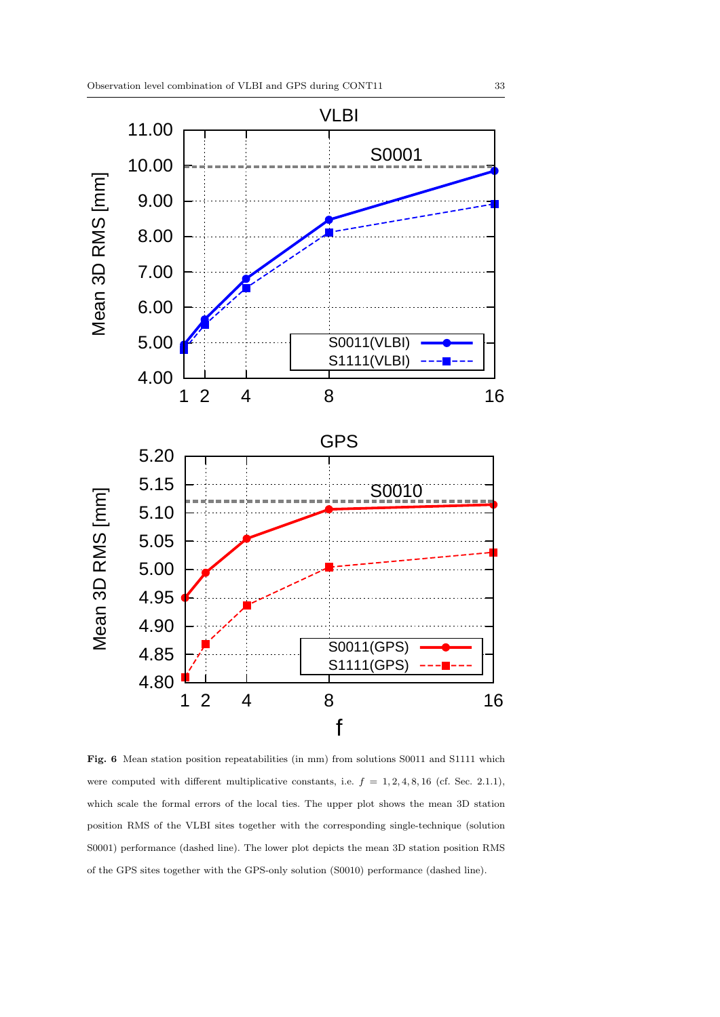

Fig. 6 Mean station position repeatabilities (in mm) from solutions S0011 and S1111 which were computed with different multiplicative constants, i.e.  $f = 1, 2, 4, 8, 16$  (cf. Sec. 2.1.1), which scale the formal errors of the local ties. The upper plot shows the mean 3D station position RMS of the VLBI sites together with the corresponding single-technique (solution S0001) performance (dashed line). The lower plot depicts the mean 3D station position RMS of the GPS sites together with the GPS-only solution (S0010) performance (dashed line).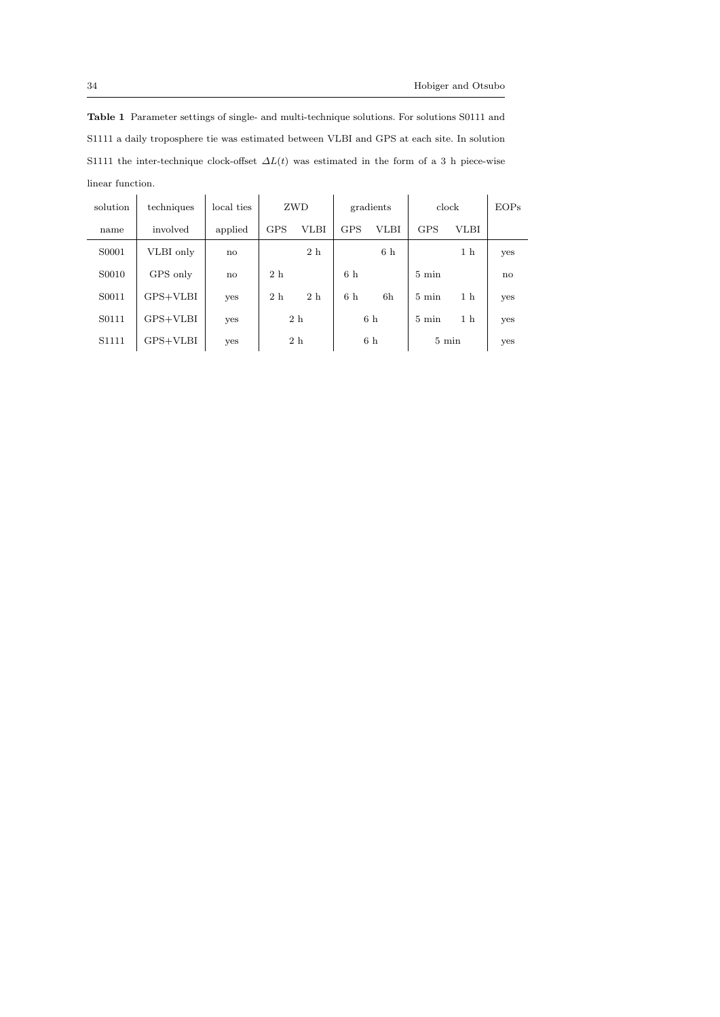Table 1 Parameter settings of single- and multi-technique solutions. For solutions S0111 and S1111 a daily troposphere tie was estimated between VLBI and GPS at each site. In solution S1111 the inter-technique clock-offset  $\Delta L(t)$  was estimated in the form of a 3 h piece-wise linear function.

| solution | techniques | local ties   |                | ZWD            |                | gradients      | clock           |                | EOPs |
|----------|------------|--------------|----------------|----------------|----------------|----------------|-----------------|----------------|------|
| name     | involved   | applied      | <b>GPS</b>     | <b>VLBI</b>    | <b>GPS</b>     | <b>VLBI</b>    | <b>GPS</b>      | <b>VLBI</b>    |      |
| S0001    | VLBI only  | $\mathbf{n}$ |                | 2 <sub>h</sub> |                | 6 <sub>h</sub> |                 | 1 <sub>h</sub> | yes  |
| S0010    | GPS only   | $\mathbf{n}$ | 2h             |                | 6 <sub>h</sub> |                | $5 \text{ min}$ |                | no   |
| S0011    | GPS+VLBI   | yes          | 2 <sub>h</sub> | 2 <sub>h</sub> | 6h             | 6h             | $5 \text{ min}$ | 1 <sub>h</sub> | yes  |
| S0111    | GPS+VLBI   | yes          |                | 2 h            |                | 6h             | $5 \text{ min}$ | 1 <sub>h</sub> | yes  |
| S1111    | GPS+VLBI   | yes          |                | 2h             |                | 6h             | $5 \text{ min}$ |                | yes  |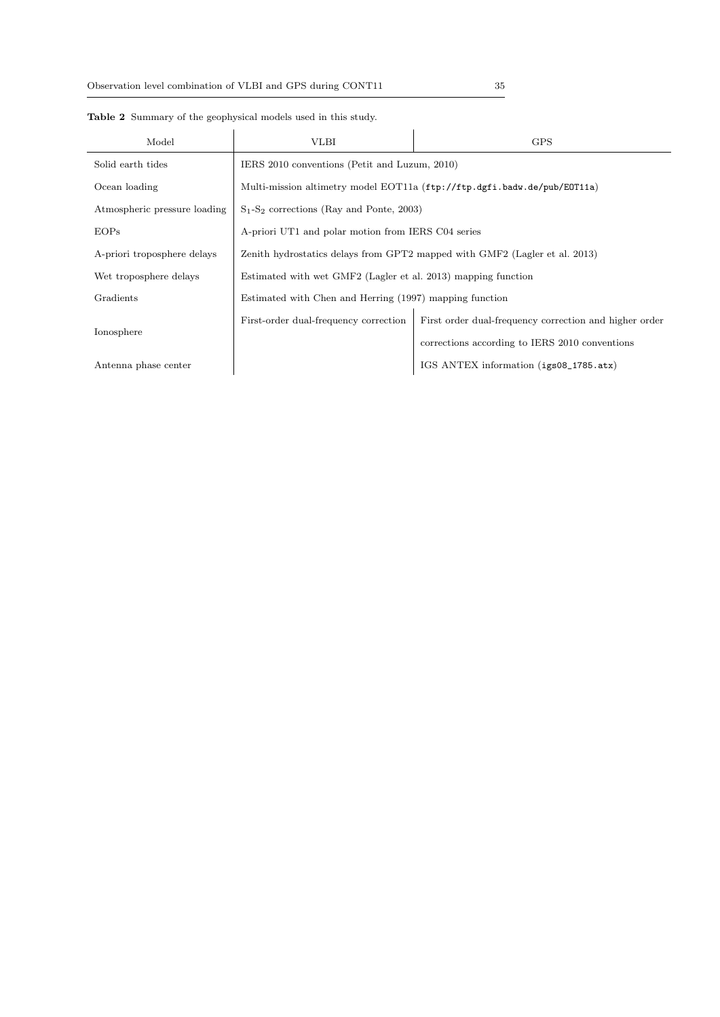| Model                        | <b>VLBI</b>                                                                | <b>GPS</b>                                             |  |  |  |
|------------------------------|----------------------------------------------------------------------------|--------------------------------------------------------|--|--|--|
| Solid earth tides            | IERS 2010 conventions (Petit and Luzum, 2010)                              |                                                        |  |  |  |
| Ocean loading                | Multi-mission altimetry model EOT11a (ftp://ftp.dgfi.badw.de/pub/E0T11a)   |                                                        |  |  |  |
| Atmospheric pressure loading | $S_1-S_2$ corrections (Ray and Ponte, 2003)                                |                                                        |  |  |  |
| EOPs                         | A-priori UT1 and polar motion from IERS C04 series                         |                                                        |  |  |  |
| A-priori troposphere delays  | Zenith hydrostatics delays from GPT2 mapped with GMF2 (Lagler et al. 2013) |                                                        |  |  |  |
| Wet troposphere delays       | Estimated with wet GMF2 (Lagler et al. 2013) mapping function              |                                                        |  |  |  |
| Gradients                    | Estimated with Chen and Herring (1997) mapping function                    |                                                        |  |  |  |
|                              | First-order dual-frequency correction                                      | First order dual-frequency correction and higher order |  |  |  |
| Ionosphere                   |                                                                            | corrections according to IERS 2010 conventions         |  |  |  |
| Antenna phase center         |                                                                            | IGS ANTEX information (igs08_1785.atx)                 |  |  |  |

Table 2 Summary of the geophysical models used in this study.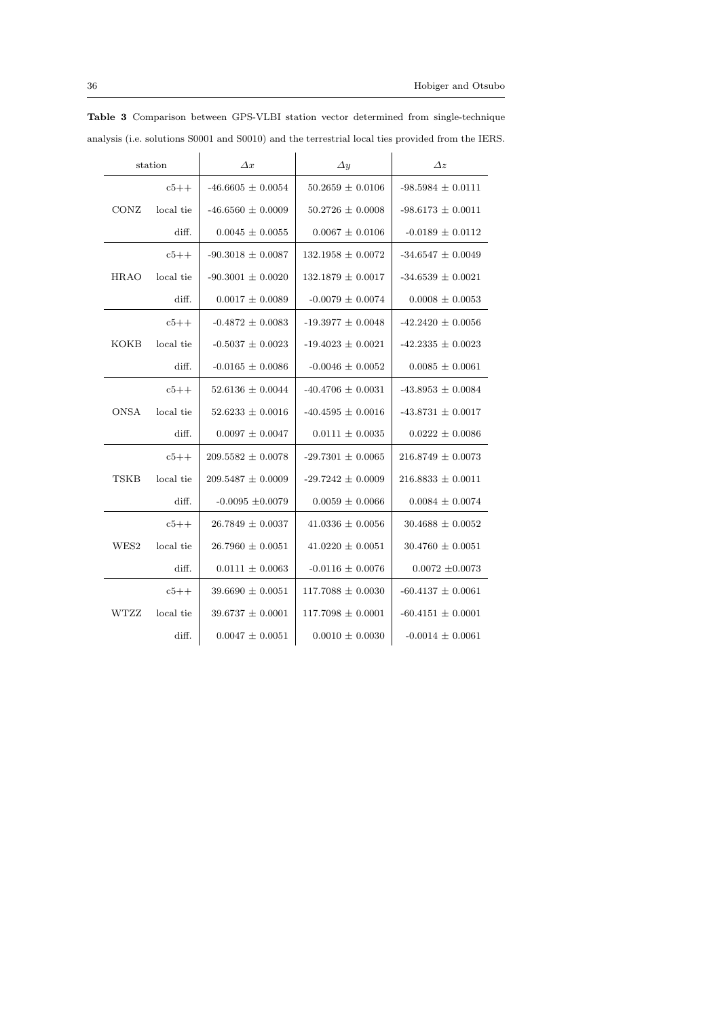| station     |           | $\Delta x$            | $\Delta y$            | $\Delta$ z            |
|-------------|-----------|-----------------------|-----------------------|-----------------------|
|             | $c5++$    | $-46.6605 \pm 0.0054$ | $50.2659 \pm 0.0106$  | $-98.5984 \pm 0.0111$ |
| CONZ        | local tie | $-46.6560 \pm 0.0009$ | $50.2726 \pm 0.0008$  | $-98.6173 \pm 0.0011$ |
|             | diff.     | $0.0045 \pm 0.0055$   | $0.0067 \pm 0.0106$   | $-0.0189 \pm 0.0112$  |
|             | $c5++$    | $-90.3018 \pm 0.0087$ | $132.1958 \pm 0.0072$ | $-34.6547 \pm 0.0049$ |
| HRAO        | local tie | $-90.3001 \pm 0.0020$ | $132.1879 \pm 0.0017$ | $-34.6539 \pm 0.0021$ |
|             | diff.     | $0.0017 \pm 0.0089$   | $-0.0079 \pm 0.0074$  | $0.0008 \pm 0.0053$   |
| KOKB        | $c5++$    | $-0.4872 + 0.0083$    | $-19.3977 + 0.0048$   | $-42.2420 + 0.0056$   |
|             | local tie | $-0.5037 \pm 0.0023$  | $-19.4023 \pm 0.0021$ | $-42.2335 \pm 0.0023$ |
|             | diff.     | $-0.0165 \pm 0.0086$  | $-0.0046 \pm 0.0052$  | $0.0085 \pm 0.0061$   |
| <b>ONSA</b> | $c5++$    | $52.6136 \pm 0.0044$  | $-40.4706 + 0.0031$   | $-43.8953 \pm 0.0084$ |
|             | local tie | $52.6233 \pm 0.0016$  | $-40.4595 \pm 0.0016$ | $-43.8731 \pm 0.0017$ |
|             | diff.     | $0.0097 \pm 0.0047$   | $0.0111 \pm 0.0035$   | $0.0222 \pm 0.0086$   |
| TSKB        | $c5++$    | $209.5582 \pm 0.0078$ | $-29.7301 \pm 0.0065$ | $216.8749 \pm 0.0073$ |
|             | local tie | $209.5487 \pm 0.0009$ | $-29.7242 \pm 0.0009$ | $216.8833 \pm 0.0011$ |
|             | diff.     | $-0.0095 \pm 0.0079$  | $0.0059 \pm 0.0066$   | $0.0084 \pm 0.0074$   |
| WES2        | $c5++$    | $26.7849 \pm 0.0037$  | $41.0336 \pm 0.0056$  | $30.4688 \pm 0.0052$  |
|             | local tie | $26.7960 \pm 0.0051$  | $41.0220 \pm 0.0051$  | $30.4760 \pm 0.0051$  |
|             | diff.     | $0.0111 \pm 0.0063$   | $-0.0116 \pm 0.0076$  | $0.0072 \pm 0.0073$   |
| WTZZ        | $c5++$    | $39.6690 \pm 0.0051$  | $117.7088 \pm 0.0030$ | $-60.4137 \pm 0.0061$ |
|             | local tie | $39.6737 \pm 0.0001$  | $117.7098 \pm 0.0001$ | $-60.4151 \pm 0.0001$ |
|             | diff.     | $0.0047 \pm 0.0051$   | $0.0010 \pm 0.0030$   | $-0.0014 \pm 0.0061$  |

Table 3 Comparison between GPS-VLBI station vector determined from single-technique analysis (i.e. solutions S0001 and S0010) and the terrestrial local ties provided from the IERS.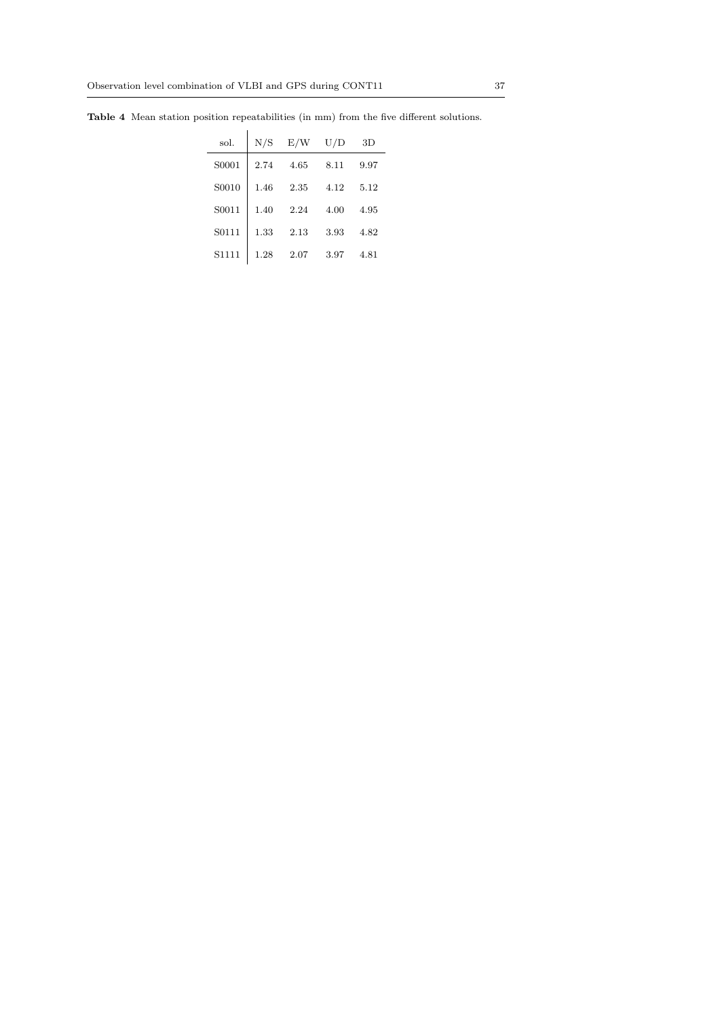| sol.  | N/S  | E/W  | $_{\rm U/D}$ | 3D   |
|-------|------|------|--------------|------|
| S0001 | 2.74 | 4.65 | 8.11         | 9.97 |
| S0010 | 1.46 | 2.35 | 4.12         | 5.12 |
| S0011 | 1.40 | 2.24 | 4.00         | 4.95 |
| S0111 | 1.33 | 2.13 | 3.93         | 4.82 |
| S1111 | 1.28 | 2.07 | 3.97         | 4.81 |

Table 4 Mean station position repeatabilities (in mm) from the five different solutions.